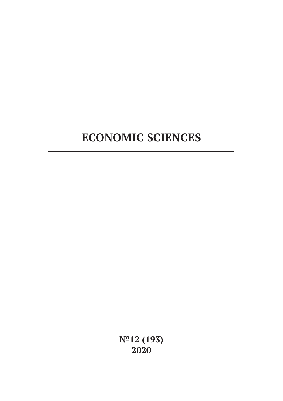**№12 (193) 2020**

# **ECONOMIC SCIENCES**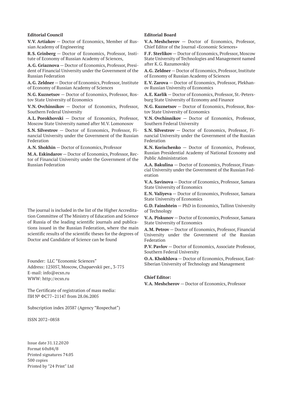#### **Editorial Council**

**V.V. Artiakov** — Doctor of Economics, Member of Russian Academy of Engineering

**R.S. Grinberg** — Doctor of Economics, Professor, Institute of Economy of Russian Academy of Sciences,

**A.G. Griaznova** — Doctor of Economics, Professor, President of Financial University under the Government of the Russian Federation

**A.G. Zeldner** — Doctor of Economics, Professor, Institute of Economy of Russian Academy of Sciences

**N.G. Kuznetsov** — Doctor of Economics, Professor, Rostov State University of Economics

**V.N. Ovchinnikov** — Doctor of Economics, Professor, Southern Federal University

**A.L. Porokhovski** — Doctor of Economics, Professor, Moscow State University named after M.V. Lomonosov

**S.N. Silvestrov** — Doctor of Economics, Professor, Financial University under the Government of the Russian Federation

**A.N. Shokhin** — Doctor of Economics, Professor

**M.A. Eskindarov** — Doctor of Economics, Professor, Rector of Financial University under the Government of the Russian Federation

The journal is included in the list of the Higher Accreditation Committee of The Ministry of Education and Science of Russia of the leading scientific journals and publications issued in the Russian Federation, where the main scientific results of the scientific theses for the degrees of Doctor and Candidate of Science can be found

Founder: LLC "Economic Sciences" Address: 125057, Moscow, Chapaevskii per., 3-775 E-mail: info@ecsn.ru WWW: http://ecsn.ru

The Certificate of registration of mass media: ПИ № ФС77–21147 from 28.06.2005

Subscription index 20387 (Agency "Rospechat")

ISSN 2072–0858

Issue date 31.12.2020 Format 60х84/8 Printed signatures 74.05 500 copies Printed by "24 Print" Ltd

#### **Editorial Board**

**V.A. Meshcherov** — Doctor of Economics, Professor, Chief Editor of the Journal «Economic Sciences»

**F.F. Sterlikov** — Doctor of Economics, Professor, Moscow State University of Technologies and Management named after K.G. Razumovskiy

**A.G. Zeldner** — Doctor of Economics, Professor, Institute of Economy of Russian Academy of Sciences

**E.V. Zarova** — Doctor of Economics, Professor, Plekhanov Russian University of Economics

**A.E. Karlik** — Doctor of Economics, Professor, St.-Petersburg State University of Economy and Finance

**N.G. Kuznetsov** — Doctor of Economics, Professor, Rostov State University of Economics

**V.N. Ovchinnikov** — Doctor of Economics, Professor, Southern Federal University

**S.N. Silvestrov** — Doctor of Economics, Professor, Financial University under the Government of the Russian Federation

**K.N. Korischenko** — Doctor of Economics, Professor, Russian Presidential Academy of National Economy and Public Administration

**A.A. Bakulina** — Doctor of Economics, Professor, Financial University under the Government of the Russian Federation

**V.A. Savinova** — Doctor of Economics, Professor, Samara State University of Economics

**E.N. Valiyeva** — Doctor of Economics, Professor, Samara State University of Economics

**G.D. Fainshtein** — PhD in Economics, Tallinn University of Technology

**V.A. Piskunov** — Doctor of Economics, Professor, Samara State University of Economics

**A.M. Petrov** — Doctor of Economics, Professor, Financial University under the Government of the Russian Federation

**P.V. Pavlov** — Doctor of Economics, Associate Professor, Southern Federal University

**O.A. Khokhlova** — Doctor of Economics, Professor, East-Siberian University of Technology and Management

#### **Chief Editor:**

**V.A. Meshcherov** — Doctor of Economics, Professor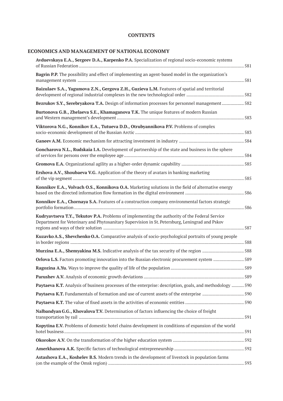### **CONTENTS**

# **ECONOMICS AND MANAGEMENT OF NATIONAL ECONOMY**

| Avduevskaya E.A., Sergeev D.A., Karpenko P.A. Specialization of regional socio-economic systems                                                                                                 |  |
|-------------------------------------------------------------------------------------------------------------------------------------------------------------------------------------------------|--|
| Bagrin P.P. The possibility and effect of implementing an agent-based model in the organization's                                                                                               |  |
| Baizulaev S.A., Yagumova Z.N., Gergova Z.H., Guzieva L.M. Features of spatial and territorial                                                                                                   |  |
| Bezrukov S.Y., Serebryakova T.A. Design of information processes for personnel management  582                                                                                                  |  |
| Burtonova G.B., Zhelaeva S.E., Khamaganova T.K. The unique features of modern Russian                                                                                                           |  |
| Viktorova N.G., Konnikov E.A., Tutueva D.D., Otrubyannikova P.V. Problems of complex                                                                                                            |  |
|                                                                                                                                                                                                 |  |
| Goncharova N.L., Rudskaia I.A. Development of partnership of the state and business in the sphere                                                                                               |  |
|                                                                                                                                                                                                 |  |
| Ershova A.V., Shoubaeva V.G. Application of the theory of avatars in banking marketing                                                                                                          |  |
| Konnikov E.A., Volvach O.S., Konnikova O.A. Marketing solutions in the field of alternative energy                                                                                              |  |
| Konnikov E.A., Chornaya S.A. Features of a construction company environmental factors strategic                                                                                                 |  |
| Kudryavtseva T.Y., Tekutov P.A. Problems of implementing the authority of the Federal Service<br>Department for Veterinary and Phytosanitary Supervision in St. Petersburg, Leningrad and Pskov |  |
| Kuzavko A.S., Shevchenko O.A. Comparative analysis of socio-psychological portraits of young people                                                                                             |  |
|                                                                                                                                                                                                 |  |
| Orlova L.S. Factors promoting innovation into the Russian electronic procurement system 589                                                                                                     |  |
|                                                                                                                                                                                                 |  |
|                                                                                                                                                                                                 |  |
| Paytaeva K.T. Analysis of business processes of the enterprise: description, goals, and methodology  590                                                                                        |  |
| Paytaeva K.T. Fundamentals of formation and use of current assets of the enterprise 590                                                                                                         |  |
|                                                                                                                                                                                                 |  |
| Nalbandyan G.G., Khovalova T.V. Determination of factors influencing the choice of freight                                                                                                      |  |
| Kopytina E.V. Problems of domestic hotel chains development in conditions of expansion of the world                                                                                             |  |
|                                                                                                                                                                                                 |  |
|                                                                                                                                                                                                 |  |
| Astashova E.A., Koshelev B.S. Modern trends in the development of livestock in population farms                                                                                                 |  |
|                                                                                                                                                                                                 |  |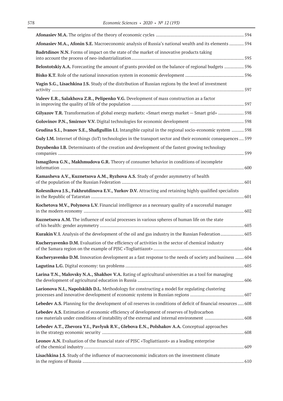| Afonasiev M.A., Afonin S.E. Macroeconomic analysis of Russia's national wealth and its elements  594                                                                                    |  |
|-----------------------------------------------------------------------------------------------------------------------------------------------------------------------------------------|--|
| Badridinov N.N. Forms of impact on the state of the market of innovative products taking                                                                                                |  |
| Belostotskiy A.A. Forecasting the amount of grants provided on the balance of regional budgets  596                                                                                     |  |
|                                                                                                                                                                                         |  |
| Vagin S.G., Lisachkina J.S. Study of the distribution of Russian regions by the level of investment                                                                                     |  |
| Valeev E.R., Salakhova Z.R., Pelipenko V.G. Development of mass construction as a factor                                                                                                |  |
| Gilyazov T.R. Transformation of global energy markets: «Smart energy market - Smart grid»  598                                                                                          |  |
|                                                                                                                                                                                         |  |
| Grudina S.I., Ivanov S.E., Shafigullin I.I. Intangible capital in the regional socio-economic system  598                                                                               |  |
| Guly I.M. Internet of things (IoT) technologies in the transport sector and their economic consequences  599                                                                            |  |
| Dzyubenko I.B. Determinants of the creation and development of the fastest growing technology                                                                                           |  |
| Ismagilova G.N., Makhmudova G.R. Theory of consumer behavior in conditions of incomplete                                                                                                |  |
| Kamasheva A.V., Kuznetsova A.M., Ryzhova A.S. Study of gender asymmetry of health                                                                                                       |  |
| Kolesnikova J.S., Fakhrutdinova E.V., Yurkov D.V. Attracting and retaining highly qualified specialists                                                                                 |  |
| Kochetova M.V., Polynova L.V. Financial intelligence as a necessary quality of a successful manager                                                                                     |  |
| Kuznetsova A.M. The influence of social processes in various spheres of human life on the state                                                                                         |  |
| Kurakin V.I. Analysis of the development of the oil and gas industry in the Russian Federation 603                                                                                      |  |
| Kucheryavenko D.M. Evaluation of the efficiency of activities in the sector of chemical industry                                                                                        |  |
| Kucheryavenko D.M. Innovation development as a fast response to the needs of society and business  604                                                                                  |  |
|                                                                                                                                                                                         |  |
| Larina T.N., Malovsky N.A., Shakhov V.A. Rating of agricultural universities as a tool for managing                                                                                     |  |
| Larionova N.I., Napolskikh D.L. Methodology for constructing a model for regulating clustering                                                                                          |  |
| Lebedev A.S. Planning for the development of oil reserves in conditions of deficit of financial resources  608                                                                          |  |
| Lebedev A.S. Estimation of economic efficiency of development of reserves of hydrocarbon<br>raw materials under conditions of instability of the external and internal environment  608 |  |
| Lebedev A.T., Zhevora Y.I., Pavlyuk R.V., Glebova E.N., Polshakov A.A. Conceptual approaches                                                                                            |  |
| Leonov A.N. Evaluation of the financial state of PJSC «Togliattiazot» as a leading enterprise                                                                                           |  |
| Lisachkina J.S. Study of the influence of macroeconomic indicators on the investment climate                                                                                            |  |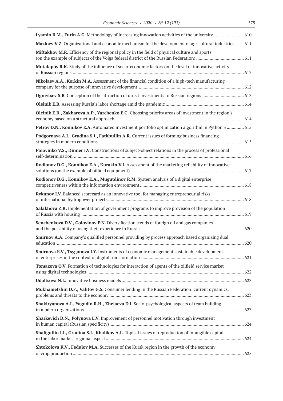| Lyamin B.M., Furin A.G. Methodology of increasing innovation activities of the university  610         |
|--------------------------------------------------------------------------------------------------------|
| Mazloev V.Z. Organizational and economic mechanism for the development of agricultural industries  611 |
| Miftakhov M.R. Efficiency of the regional policy in the field of physical culture and sports           |
| Mutalapov R.K. Study of the influence of socio-economic factors on the level of innovative activity    |
| Nikolaev A.A., Korkin M.A. Assessment of the financial condition of a high-tech manufacturing          |
|                                                                                                        |
|                                                                                                        |
| Oleinik E.B., Zakharova A.P., Yurchenko E.G. Choosing priority areas of investment in the region's     |
| Petrov D.N., Konnikov E.A. Automated investment portfolio optimization algorithm in Python 3  615      |
| Podgornaya A.I., Grudina S.I., Fatkhullin A.R. Current issues of forming business financing            |
| Polovinko V.S., Dinner I.V. Constructions of subject-object relations in the process of professional   |
| Rodionov D.G., Konnikov E.A., Kurakin V.I. Assessment of the marketing reliability of innovative       |
| Rodionov D.G., Konnikov E.A., Mugutdinov R.M. System analysis of a digital enterprise                  |
| Rykunov I.V. Balanced scorecard as an innovative tool for managing entrepreneurial risks               |
| Salakhova Z.R. Implementation of government programs to improve provision of the population            |
| Senchenkova D.V., Golovinov P.N. Diversification trends of foreign oil and gas companies               |
| <b>Smirnov A.A.</b> Company's qualified personnel providing by process approach based organizing dual  |
| Smirnova E.V., Tsyganova I.Y. Instruments of economic management sustainable development               |
| Tomazova O.V. Formation of technologies for interaction of agents of the oilfield service market       |
|                                                                                                        |
| Mukhametshin D.F., Valitov G.S. Consumer lending in the Russian Federation: current dynamics,          |
| Shakiryanova A.I., Yagudin R.H., Zhelaeva D.I. Socio-psychological aspects of team building            |
| Sharkevich D.N., Polynova L.V. Improvement of personnel motivation through investment                  |
| Shafigullin I.I., Grudina S.I., Khalikov A.L. Topical issues of reproduction of intangible capital     |
| Shtokolova K.V., Fedulov M.A. Successes of the Kursk region in the growth of the economy               |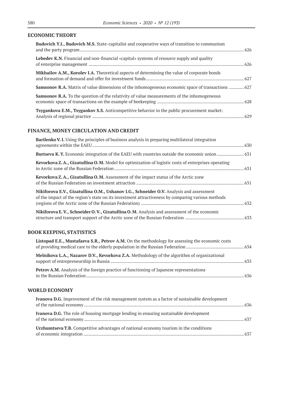### **ECONOMIC THEORY**

| <b>Budovich Y.I., Budovich M.S.</b> State-capitalist and cooperative ways of transition to communism     |  |
|----------------------------------------------------------------------------------------------------------|--|
| <b>Lebedev K.N.</b> Financial and non-financial «capital» systems of resource supply and quality         |  |
| Mikhailov A.M., Korolev I.A. Theoretical aspects of determining the value of corporate bonds             |  |
| <b>Samsonov R.A.</b> Matrix of value dimensions of the inhomogeneous economic space of transactions  627 |  |
| <b>Samsonov R.A.</b> To the question of the relativity of value measurements of the inhomogeneous        |  |
| <b>Tsygankova E.M., Tsygankov S.S.</b> Anticompetitive behavior in the public procurement market:        |  |

### **FINANCE, MONEY CIRCULATION AND CREDIT**

| Barilenko V.I. Using the principles of business analysis in preparing multilateral integration                                                                                               |  |
|----------------------------------------------------------------------------------------------------------------------------------------------------------------------------------------------|--|
|                                                                                                                                                                                              |  |
| <b>Kevorkova Z.A., Gizatullina O.M.</b> Model for optimization of logistic costs of enterprises operating                                                                                    |  |
| <b>Keyorkova Z.A., Gizatullina O.M.</b> Assessment of the impact status of the Arctic zone                                                                                                   |  |
| Nikiforova E.V., Gizatullina O.M., Ushanov I.G., Schneider O.V. Analysis and assessment<br>of the impact of the region's state on its investment attractiveness by comparing various methods |  |
| Nikiforova E.V., Schneider O.V., Gizatullina O.M. Analysis and assessment of the economic                                                                                                    |  |

### **BOOK KEEPING, STATISTICS**

| <b>Listopad E.E., Mustafaeva S.R., Petrov A.M.</b> On the methodology for assessing the economic costs |  |
|--------------------------------------------------------------------------------------------------------|--|
|                                                                                                        |  |
| Melnikova L.A., Nazarov D.V., Kevorkova Z.A. Methodology of the algorithm of organizational            |  |
| <b>Petrov A.M.</b> Analysis of the foreign practice of functioning of Japanese representations         |  |
|                                                                                                        |  |

#### **WORLD ECONOMY**

| Ivanova D.G. Improvement of the risk management system as a factor of sustainable development |  |
|-----------------------------------------------------------------------------------------------|--|
| <b>Ivanova D.G.</b> The role of housing mortgage lending in ensuring sustainable development  |  |
| Urzhumtseva T.B. Competitive advantages of national economy tourism in the conditions         |  |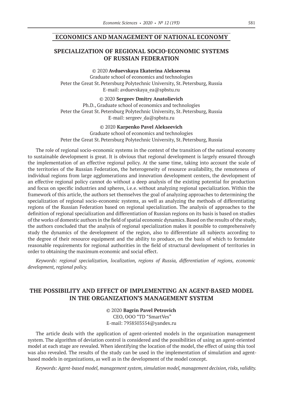### **ECONOMICS AND MANAGEMENT OF NATIONAL ECONOMY**

# **SPECIALIZATION OF REGIONAL SOCIO-ECONOMIC SYSTEMS OF RUSSIAN FEDERATION**

© 2020 **Avduevskaya Ekaterina Alekseevna** Graduate school of economics and technologies Peter the Great St.Petersburg Polytechnic University, St.Petersburg, Russia E-mail: avduevskaya\_ea@spbstu.ru

© 2020 **Sergeev Dmitry Anatolievich** Ph.D., Graduate school of economics and technologies Peter the Great St. Petersburg Polytechnic University, St. Petersburg, Russia E-mail: sergeev\_da@spbstu.ru

© 2020 **Karpenko Pavel Alekseevich** Graduate school of economics and technologies Peter the Great St. Petersburg Polytechnic University, St. Petersburg, Russia

The role of regional socio-economic systems in the context of the transition of the national economy to sustainable development is great. It is obvious that regional development is largely ensured through the implementation of an effective regional policy. At the same time, taking into account the scale of the territories of the Russian Federation, the heterogeneity of resource availability, the remoteness of individual regions from large agglomerations and innovation development centers, the development of an effective regional policy cannot do without a deep analysis of the existing potential for production and focus on specific industries and spheres, i.e.e. without analyzing regional specialization. Within the framework of this article, the authors set themselves the goal of analyzing approaches to determining the specialization of regional socio-economic systems, as well as analyzing the methods of differentiating regions of the Russian Federation based on regional specialization. The analysis of approaches to the definition of regional specialization and differentiation of Russian regions on its basis is based on studies of the works of domestic authors in the field of spatial economic dynamics. Based on the results of the study, the authors concluded that the analysis of regional specialization makes it possible to comprehensively study the dynamics of the development of the region, also to differentiate all subjects according to the degree of their resource equipment and the ability to produce, on the basis of which to formulate reasonable requirements for regional authorities in the field of structural development of territories in order to obtaining the maximum economic and social effect.

*Keywords: regional specialization, localization, regions of Russia, differentiation of regions, economic development, regional policy.*

# **THE POSSIBILITY AND EFFECT OF IMPLEMENTING AN AGENT-BASED MODEL IN THE ORGANIZATION'S MANAGEMENT SYSTEM**

© 2020 **Bagrin Pavel Petrovich** CEO, ООО "TD "SmartVes" E-mail: 7958503554@yandex.ru

The article deals with the application of agent-oriented models in the organization management system. The algorithm of deviation control is considered and the possibilities of using an agent-oriented model at each stage are revealed. When identifying the location of the model, the effect of using this tool was also revealed. The results of the study can be used in the implementation of simulation and agentbased models in organizations, as well as in the development of the model concept.

*Keywords: Agent-based model, management system, simulation model, management decision, risks, validity.*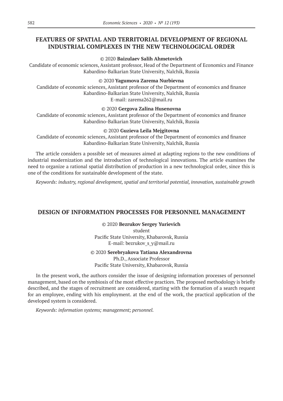# **FEATURES OF SPATIAL AND TERRITORIAL DEVELOPMENT OF REGIONAL INDUSTRIAL COMPLEXES IN THE NEW TECHNOLOGICAL ORDER**

### © 2020 **Baizulaev Salih Ahmetovich**

Candidate of economic sciences, Assistant professor, Head of the Department of Economics and Finance Kabardino-Balkarian State University, Nalchik, Russia

#### © 2020 **Yagumova Zarema Nurbievna**

Candidate of economic sciences, Assistant professor of the Department of economics and finance Kabardino-Balkarian State University, Nalchik, Russia

E-mail: zarema262@mail.ru

#### © 2020 **Gergova Zalina Husenovna**

Candidate of economic sciences, Assistant professor of the Department of economics and finance Kabardino-Balkarian State University, Nalchik, Russia

### © 2020 **Guzieva Leila Mejgitovna**

Candidate of economic sciences, Assistant professor of the Department of economics and finance Kabardino-Balkarian State University, Nalchik, Russia

The article considers a possible set of measures aimed at adapting regions to the new conditions of industrial modernization and the introduction of technological innovations. The article examines the need to organize a rational spatial distribution of production in a new technological order, since this is one of the conditions for sustainable development of the state.

*Keywords: industry, regional development, spatial and territorial potential, innovation, sustainable growth*

### **DESIGN OF INFORMATION PROCESSES FOR PERSONNEL MANAGEMENT**

© 2020 **Bezrukov Sergey Yurievich** student Pacific State University, Khabarovsk, Russia E-mail: bezrukov s y@mail.ru

#### © 2020 **Serebryakova Tatiana Alexandrovna**

Ph.D., Associate Professor Pacific State University, Khabarovsk, Russia

In the present work, the authors consider the issue of designing information processes of personnel management, based on the symbiosis of the most effective practices. The proposed methodology is briefly described, and the stages of recruitment are considered, starting with the formation of a search request for an employee, ending with his employment. at the end of the work, the practical application of the developed system is considered.

*Keywords: information systems; management; personnel.*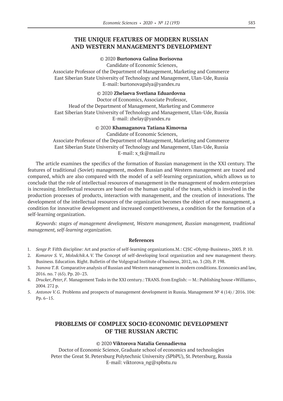### **THE UNIQUE FEATURES OF MODERN RUSSIAN AND WESTERN MANAGEMENT'S DEVELOPMENT**

#### © 2020 **Burtonova Galina Borisovna**

Candidate of Economic Sciences,

Associate Professor of the Department of Management, Marketing and Commerce East Siberian State University of Technology and Management, Ulan-Ude, Russia E-mail: burtonovagalya@yandex.ru

© 2020 **Zhelaeva Svetlana Eduardovna**

Doctor of Economics, Associate Professor, Head of the Department of Management, Marketing and Commerce East Siberian State University of Technology and Management, Ulan-Ude, Russia E-mail: zhelay@yandex.ru

#### © 2020 **Khamaganova Tatiana Kimovna**

Candidate of Economic Sciences, Associate Professor of the Department of Management, Marketing and Commerce East Siberian State University of Technology and Management, Ulan-Ude, Russia E-mail: x\_tk@mail.ru

The article examines the specifics of the formation of Russian management in the XXI century. The features of traditional (Soviet) management, modern Russian and Western management are traced and compared, which are also compared with the model of a self-learning organization, which allows us to conclude that the role of intellectual resources of management in the management of modern enterprises is increasing. Intellectual resources are based on the human capital of the team, which is involved in the production processes of products, interaction with management, and the creation of innovations. The development of the intellectual resources of the organization becomes the object of new management, a condition for innovative development and increased competitiveness, a condition for the formation of a self-learning organization.

*Keywords: stages of management development, Western management, Russian management, traditional management, self-learning organization.*

#### **References**

- 1. *Senge P.* Fifth discipline: Art and practice of self-learning organizations.M.: CJSC «Olymp-Business», 2003. P. 10.
- 2. *Komarov S. V., MolodchikA.V.* The Concept of self-developing local organization and new management theory. Business. Education. Right. Bulletin of the Volgograd Institute of business, 2012, no. 3 (20). P. 198.
- 3. *Ivanova T.B.* Comparative analysis of Russian and Western management in modern conditions. Economics and law, 2016. no. 7 (65). Pp. 20–23.
- 4. *Drucker, Peter, F. Management Tasks in the XXI century.: TRANS. from English:* M.: Publishing house «Williams», 2004. 272 p.
- 5. *Antonov V. G.* Problems and prospects of management development in Russia. Management № 4 (14) / 2016. 104: Pp. 6–15.

# **PROBLEMS OF COMPLEX SOCIO-ECONOMIC DEVELOPMENT OF THE RUSSIAN ARCTIC**

#### © 2020 **Viktorova Natalia Gennadievna**

Doctor of Economic Science, Graduate school of economics and technologies Peter the Great St. Petersburg Polytechnic University (SPbPU), St. Petersburg, Russia E-mail: viktorova\_ng@spbstu.ru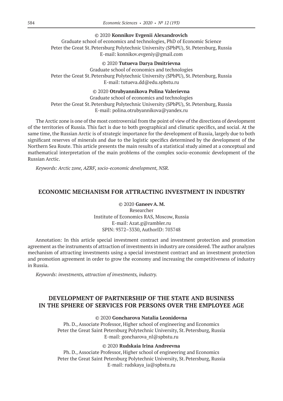#### © 2020 **Konnikov Evgenii Alexandrovich**

Graduate school of economics and technologies, PhD of Economic Science Peter the Great St. Petersburg Polytechnic University (SPbPU), St. Petersburg, Russia E-mail: konnikov.evgeniy@gmail.com

© 2020 **Tutueva Darya Dmitrievna** Graduate school of economics and technologies Peter the Great St. Petersburg Polytechnic University (SPbPU), St. Petersburg, Russia E-mail: tutueva.dd@edu.spbstu.ru

© 2020 **Otrubyannikova Polina Valerievna**

Graduate school of economics and technologies Peter the Great St. Petersburg Polytechnic University (SPbPU), St. Petersburg, Russia

E-mail: polina.otrubyannikova@yandex.ru

The Arctic zone is one of the most controversial from the point of view of the directions of development of the territories of Russia. This fact is due to both geographical and climatic specifics, and social. At the same time, the Russian Arctic is of strategic importance for the development of Russia, largely due to both significant reserves of minerals and due to the logistic specifics determined by the development of the Northern Sea Route. This article presents the main results of a statistical study aimed at a conceptual and mathematical interpretation of the main problems of the complex socio-economic development of the Russian Arctic.

*Keywords: Arctic zone, AZRF, socio-economic development, NSR.*

### **ECONOMIC MECHANISM FOR ATTRACTING INVESTMENT IN INDUSTRY**

© 2020 **Ganeev A.M.** Researcher Institute of Economics RAS, Moscow, Russia E-mail: Azat.g@rambler.ru SPIN: 9372–3330, AuthorID: 703748

Annotation: In this article special investment contract and investment protection and promotion agreement as the instruments of attraction of investments in industry are considered. The author analyzes mechanism of attracting investments using a special investment contract and an investment protection and promotion agreement in order to grow the economy and increasing the competitiveness of industry in Russia.

*Keywords: investments, attraction of investments, industry.*

# **DEVELOPMENT OF PARTNERSHIP OF THE STATE AND BUSINESS IN THE SPHERE OF SERVICES FOR PERSONS OVER THE EMPLOYEE AGE**

### © 2020 **Goncharova Natalia Leonidovna**

Ph. D., Associate Professor, Higher school of engineering and Economics Peter the Great Saint Petersburg Polytechnic University, St. Petersburg, Russia E-mail: goncharova\_nl@spbstu.ru

### © 2020 **Rudskaia Irina Andreevna**

Ph. D., Associate Professor, Higher school of engineering and Economics Peter the Great Saint Petersburg Polytechnic University, St. Petersburg, Russia E-mail: rudskaya\_ia@spbstu.ru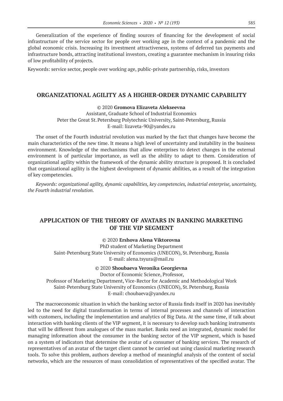Generalization of the experience of finding sources of financing for the development of social infrastructure of the service sector for people over working age in the context of a pandemic and the global economic crisis. Increasing its investment attractiveness, systems of deferred tax payments and infrastructure bonds, attracting institutional investors, creating a guarantee mechanism in insuring risks of low profitability of projects.

Keywords: service sector, people over working age, public-private partnership, risks, investors

### **ORGANIZATIONAL AGILITY AS A HIGHER-ORDER DYNAMIC CAPABILITY**

### © 2020 **Gromova Elizaveta Alekseevna**

Assistant, Graduate School of Industrial Economics Peter the Great St.Petersburg Polytechnic University, Saint-Petersburg, Russia E-mail: lizaveta‑90@yandex.ru

The onset of the Fourth industrial revolution was marked by the fact that changes have become the main characteristics of the new time. It means a high level of uncertainty and instability in the business environment. Knowledge of the mechanisms that allow enterprises to detect changes in the external environment is of particular importance, as well as the ability to adapt to them. Consideration of organizational agility within the framework of the dynamic ability structure is proposed. It is concluded that organizational agility is the highest development of dynamic abilities, as a result of the integration of key competencies.

*Keywords: organizational agility, dynamic capabilities, key competencies, industrial enterprise, uncertainty, the Fourth industrial revolution.*

# **APPLICATION OF THE THEORY OF AVATARS IN BANKING MARKETING OF THE VIP SEGMENT**

### © 2020 **Ershova Alena Viktorovna**

PhD student of Marketing Department Saint-Petersburg State University of Economics (UNECON), St.Petersburg, Russia E-mail: alena.tsyura@mail.ru

#### © 2020 **Shoubaeva Veronika Georgievna**

Doctor of Economic Science, Professor, Professor of Marketing Department, Vice-Rector for Academic and Methodological Work Saint-Petersburg State University of Economics (UNECON), St.Petersburg, Russia E-mail: choubaeva@yandex.ru

The macroeconomic situation in which the banking sector of Russia finds itself in 2020 has inevitably led to the need for digital transformation in terms of internal processes and channels of interaction with customers, including the implementation and analytics of Big Data. At the same time, if talk about interaction with banking clients of the VIP segment, it is necessary to develop such banking instruments that will be different from analogues of the mass market. Banks need an integrated, dynamic model for managing information about the consumer in the banking sector of the VIP segment, which is based on a system of indicators that determine the avatar of a consumer of banking services. The research of representatives of an avatar of the target client cannot be carried out using classical marketing research tools. To solve this problem, authors develop a method of meaningful analysis of the content of social networks, which are the resources of mass consolidation of representatives of the specified avatar. The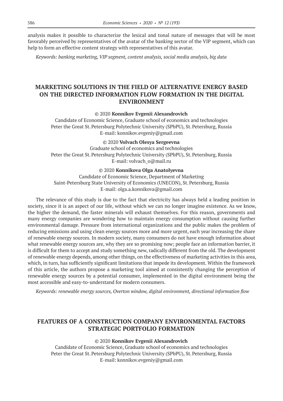analysis makes it possible to characterize the lexical and tonal nature of messages that will be most favorably perceived by representatives of the avatar of the banking sector of the VIP segment, which can help to form an effective content strategy with representatives of this avatar.

*Keywords: banking marketing, VIP segment, content analysis, social media analysis, big data*

# **MARKETING SOLUTIONS IN THE FIELD OF ALTERNATIVE ENERGY BASED ON THE DIRECTED INFORMATION FLOW FORMATION IN THE DIGITAL ENVIRONMENT**

#### © 2020 **Konnikov Evgenii Alexandrovich**

Candidate of Economic Science, Graduate school of economics and technologies Peter the Great St.Petersburg Polytechnic University (SPbPU), St.Petersburg, Russia E-mail: konnikov.evgeniy@gmail.com

#### © 2020 **Volvach Olesya Sergeevna**

Graduate school of economics and technologies Peter the Great St. Petersburg Polytechnic University (SPbPU), St. Petersburg, Russia E-mail: volvach\_o@mail.ru

### © 2020 **Konnikova Olga Anatolyevna**

Candidate of Economic Science, Department of Marketing Saint-Petersburg State University of Economics (UNECON), St.Petersburg, Russia E-mail: olga.a.konnikova@gmail.com

The relevance of this study is due to the fact that electricity has always held a leading position in society, since it is an aspect of our life, without which we can no longer imagine existence. As we know, the higher the demand, the faster minerals will exhaust themselves. For this reason, governments and many energy companies are wondering how to maintain energy consumption without causing further environmental damage. Pressure from international organizations and the public makes the problem of reducing emissions and using clean energy sources more and more urgent, each year increasing the share of renewable energy sources. In modern society, many consumers do not have enough information about what renewable energy sources are, why they are so promising now; people face an information barrier, it is difficult for them to accept and study something new, radically different from the old. The development of renewable energy depends, among other things, on the effectiveness of marketing activities in this area, which, in turn, has sufficiently significant limitations that impede its development. Within the framework of this article, the authors propose a marketing tool aimed at consistently changing the perception of renewable energy sources by a potential consumer, implemented in the digital environment being the most accessible and easy-to-understand for modern consumers.

*Keywords: renewable energy sources, Overton window, digital environment, directional information flow*

# **FEATURES OF A CONSTRUCTION COMPANY ENVIRONMENTAL FACTORS STRATEGIC PORTFOLIO FORMATION**

#### © 2020 **Konnikov Evgenii Alexandrovich**

Candidate of Economic Science, Graduate school of economics and technologies Peter the Great St. Petersburg Polytechnic University (SPbPU), St. Petersburg, Russia E-mail: konnikov.evgeniy@gmail.com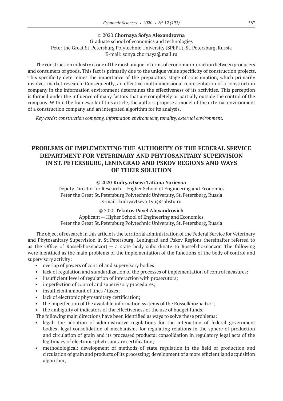#### © 2020 **Chornaya Sofya Alexandrovna**

Graduate school of economics and technologies Peter the Great St. Petersburg Polytechnic University (SPbPU), St. Petersburg, Russia E-mail: sonya.chornaya@mail.ru

The construction industry is one of the most unique in terms of economic interaction between producers and consumers of goods. This fact is primarily due to the unique value specificity of construction projects. This specificity determines the importance of the preparatory stage of consumption, which primarily involves market research. Consequently, an effective multidimensional representation of a construction company in the information environment determines the effectiveness of its activities. This perception is formed under the influence of many factors that are completely or partially outside the control of the company. Within the framework of this article, the authors propose a model of the external environment of a construction company and an integrated algorithm for its analysis.

*Keywords: construction company, information environment, tonality, external environment.*

# **PROBLEMS OF IMPLEMENTING THE AUTHORITY OF THE FEDERAL SERVICE DEPARTMENT FOR VETERINARY AND PHYTOSANITARY SUPERVISION IN ST.PETERSBURG, LENINGRAD AND PSKOV REGIONS AND WAYS OF THEIR SOLUTION**

### © 2020 **Kudryavtseva Tatiana Yurievna**

Deputy Director for Research — Higher School of Engineering and Economics Peter the Great St. Petersburg Polytechnic University, St. Petersburg, Russia E-mail: kudryavtseva\_tyu@spbstu.ru

#### © 2020 **Tekutov Pavel Alexandrovich**

Applicant — Higher School of Engineering and Economics Peter the Great St. Petersburg Polytechnic University, St. Petersburg, Russia

The object of research in this article is the territorial administration of the Federal Service for Veterinary and Phytosanitary Supervision in St.Petersburg, Leningrad and Pskov Regions (hereinafter referred to as the Office of Rosselkhoznadzor) — a state body subordinate to Rosselkhoznadzor. The following were identified as the main problems of the implementation of the functions of the body of control and supervisory activity:

- overlap of powers of control and supervisory bodies;
- lack of regulation and standardization of the processes of implementation of control measures;
- insufficient level of regulation of interaction with prosecutors;
- imperfection of control and supervisory procedures;
- insufficient amount of fines / taxes;
- lack of electronic phytosanitary certification;
- the imperfection of the available information systems of the Rosselkhoznadzor;
- the ambiguity of indicators of the effectiveness of the use of budget funds.

The following main directions have been identified as ways to solve these problems:

- legal: the adoption of administrative regulations for the interaction of federal government bodies; legal consolidation of mechanisms for regulating relations in the sphere of production and circulation of grain and its processed products; consolidation in regulatory legal acts of the legitimacy of electronic phytosanitary certification;
- methodological: development of methods of state regulation in the field of production and circulation of grain and products of its processing; development of a more efficient land acquisition algorithm;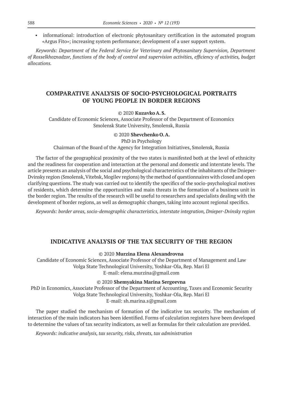• informational: introduction of electronic phytosanitary certification in the automated program «Argus Fito»; increasing system performance; development of a user support system.

*Keywords: Department of the Federal Service for Veterinary and Phytosanitary Supervision, Department of Rosselkhoznadzor, functions of the body of control and supervision activities, efficiency of activities, budget allocations.*

# **COMPARATIVE ANALYSIS OF SOCIO-PSYCHOLOGICAL PORTRAITS OF YOUNG PEOPLE IN BORDER REGIONS**

### © 2020 **Kuzavko A.S.**

Candidate of Economic Sciences, Associate Professor of the Department of Economics Smolensk State University, Smolensk, Russia

### © 2020 **Shevchenko O.A.**

PhD in Psychology

Chairman of the Board of the Agency for Integration Initiatives, Smolensk, Russia

The factor of the geographical proximity of the two states is manifested both at the level of ethnicity and the readiness for cooperation and interaction at the personal and domestic and interstate levels. The article presents an analysis of the social and psychological characteristics of the inhabitants of the Dnieper-Dvinsky region (Smolensk, Vitebsk, Mogilev regions) by the method of questionnaires with closed and open clarifying questions. The study was carried out to identify the specifics of the socio-psychological motives of residents, which determine the opportunities and main threats in the formation of a business unit in the border region. The results of the research will be useful to researchers and specialists dealing with the development of border regions, as well as demographic changes, taking into account regional specifics.

*Keywords: border areas, socio-demographic characteristics, interstate integration, Dnieper-Dvinsky region*

### **INDICATIVE ANALYSIS OF THE TAX SECURITY OF THE REGION**

© 2020 **Murzina Elena Alexandrovna**

Candidate of Economic Sciences, Associate Professor of the Department of Management and Law Volga State Technological University, Yoshkar-Ola, Rep. Mari El E-mail: elena.murzina@gmail.com

#### © 2020 **Shemyakina Marina Sergeevna**

PhD in Economics, Associate Professor of the Department of Accounting, Taxes and Economic Security Volga State Technological University, Yoshkar-Ola, Rep. Mari El E-mail: sh.marina.s@gmail.com

The paper studied the mechanism of formation of the indicative tax security. The mechanism of interaction of the main indicators has been identified. Forms of calculation registers have been developed to determine the values of tax security indicators, as well as formulas for their calculation are provided.

*Keywords: indicative analysis, tax security, risks, threats, tax administration*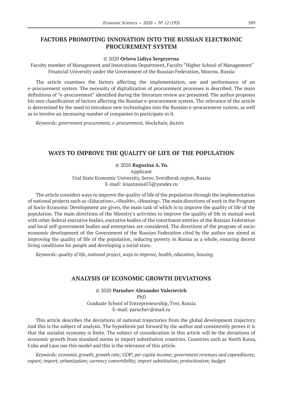### **FACTORS PROMOTING INNOVATION INTO THE RUSSIAN ELECTRONIC PROCUREMENT SYSTEM**

#### © 2020 **Orlova Lidiya Sergeyevna**

Faculty member of Management and Innovations Department, Faculty "Higher School of Management" Financial University under the Government of the Russian Federation, Moscow, Russia

The article examines the factors affecting the implementation, use and performance of an e-procurement system. The necessity of digitalization of procurement processes is described. The main definitions of "e-procurement" identified during the literature review are presented. The author proposes his own classification of factors affecting the Russian e-procurement system. The relevance of the article is determined by the need to introduce new technologies into the Russian e-procurement system, as well as to involve an increasing number of companies to participate in it.

*Keywords: government procurement, e-procurement, blockchain, factors*

### **WAYS TO IMPROVE THE QUALITY OF LIFE OF THE POPULATION**

© 2020 **Ragozina A.Yu.** Applicant Ural State Economic University, Serov, Sverdlovsk region, Russia E-mail: Anastasia453@yandex.ru

The article considers ways to improve the quality of life of the population through the implementation of national projects such as «Education», «Health», «Housing». The main directions of work in the Program of Socio-Economic Development are given, the main task of which is to improve the quality of life of the population. The main directions of the Ministry's activities to improve the quality of life in mutual work with other federal executive bodies, executive bodies of the constituent entities of the Russian Federation and local self-government bodies and enterprises are considered. The directions of the program of socioeconomic development of the Government of the Russian Federation cited by the author are aimed at improving the quality of life of the population, reducing poverty in Russia as a whole, ensuring decent living conditions for people and developing a social state.

*Keywords: quality of life, national project, ways to improve, health, education, housing.*

### **ANALYSIS OF ECONOMIC GROWTH DEVIATIONS**

© 2020 **Parushev Alexander Valerievich** PhD Graduate School of Entrepreneurship, Tver, Russia E-mail: paruchev@mail.ru

This article describes the deviations of national trajectories from the global development trajectory. And this is the subject of analysis. The hypothesis put forward by the author and consistently proves it is that the socialist economy is finite. The subject of consideration in this article will be the deviations of economic growth from standard norms in import substitution countries. Countries such as North Korea, Cuba and Laos use this model and this is the relevance of this article.

*Keywords: economic growth; growth rate; GDP; per capita income; government revenues and expenditures; export; import; urbanization; currency convertibility; import substitution; protectionism; budget.*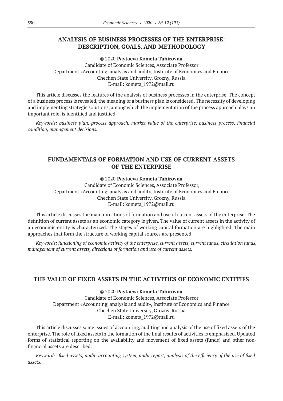# **ANALYSIS OF BUSINESS PROCESSES OF THE ENTERPRISE: DESCRIPTION, GOALS, AND METHODOLOGY**

© 2020 **Paytaeva Kometa Tahirovna**

Candidate of Economic Sciences, Associate Professor Department «Accounting, analysis and audit», Institute of Economics and Finance Chechen State University, Grozny, Russia E-mail: kometa\_1972@mail.ru

This article discusses the features of the analysis of business processes in the enterprise. The concept of a business process is revealed, the meaning of a business plan is considered. The necessity of developing and implementing strategic solutions, among which the implementation of the process approach plays an important role, is identified and justified.

*Keywords: business plan, process approach, market value of the enterprise, business process, financial condition, management decisions.*

# **FUNDAMENTALS OF FORMATION AND USE OF CURRENT ASSETS OF THE ENTERPRISE**

#### © 2020 **Paytaeva Kometa Tahirovna**

Candidate of Economic Sciences, Associate Professor, Department «Accounting, analysis and audit», Institute of Economics and Finance Chechen State University, Grozny, Russia E-mail: kometa\_1972@mail.ru

This article discusses the main directions of formation and use of current assets of the enterprise. The definition of current assets as an economic category is given. The value of current assets in the activity of an economic entity is characterized. The stages of working capital formation are highlighted. The main approaches that form the structure of working capital sources are presented.

*Keywords: functioning of economic activity of the enterprise, current assets, current funds, circulation funds, management of current assets, directions of formation and use of current assets.*

### **THE VALUE OF FIXED ASSETS IN THE ACTIVITIES OF ECONOMIC ENTITIES**

© 2020 **Paytaeva Kometa Tahirovna**

Candidate of Economic Sciences, Associate Professor Department «Accounting, analysis and audit», Institute of Economics and Finance Chechen State University, Grozny, Russia E-mail: kometa\_1972@mail.ru

This article discusses some issues of accounting, auditing and analysis of the use of fixed assets of the enterprise. The role of fixed assets in the formation of the final results of activities is emphasized. Updated forms of statistical reporting on the availability and movement of fixed assets (funds) and other nonfinancial assets are described.

Keywords: fixed assets, audit, accounting system, audit report, analysis of the efficiency of the use of fixed *assets.*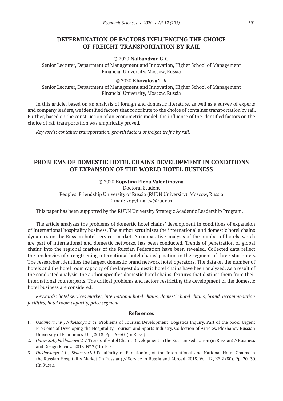# **DETERMINATION OF FACTORS INFLUENCING THE CHOICE OF FREIGHT TRANSPORTATION BY RAIL**

© 2020 **Nalbandyan G.G.**

Senior Lecturer, Department of Management and Innovation, Higher School of Management Financial University, Moscow, Russia

#### © 2020 **Khovalova T.V.**

Senior Lecturer, Department of Management and Innovation, Higher School of Management Financial University, Moscow, Russia

In this article, based on an analysis of foreign and domestic literature, as well as a survey of experts and company leaders, we identified factors that contribute to the choice of container transportation by rail. Further, based on the construction of an econometric model, the influence of the identified factors on the choice of rail transportation was empirically proved.

*Keywords: container transportation, growth factors of freight traffic by rail.*

# **PROBLEMS OF DOMESTIC HOTEL CHAINS DEVELOPMENT IN CONDITIONS OF EXPANSION OF THE WORLD HOTEL BUSINESS**

### © 2020 **Kopytina Elena Valentinovna**

Doctoral Student Рeoples' Friendship University of Russia (RUDN University), Moscow, Russia E-mail: kopytina-ev@rudn.ru

This paper has been supported by the RUDN University Strategic Academic Leadership Program.

The article analyzes the problems of domestic hotel chains' development in conditions of expansion of international hospitality business. The author scrutinizes the international and domestic hotel chains dynamics on the Russian hotel services market. A comparative analysis of the number of hotels, which are part of international and domestic networks, has been conducted. Trends of penetration of global chains into the regional markets of the Russian Federation have been revealed. Collected data reflect the tendencies of strengthening international hotel chains' position in the segment of three-star hotels. The researcher identifies the largest domestic brand network hotel operators. The data on the number of hotels and the hotel room capacity of the largest domestic hotel chains have been analyzed. As a result of the conducted analysis, the author specifies domestic hotel chains' features that distinct them from their international counterparts. The critical problems and factors restricting the development of the domestic hotel business are considered.

*Keywords: hotel services market, international hotel chains, domestic hotel chains, brand, accommodation facilities, hotel room capacity, price segment.*

- 1. *Gadimova F.K., Nikolskaya E. Yu.*Problems of Tourism Development: Logistics Inquiry. Part of the book: Urgent Problems of Developing the Hospitality, Tourism and Sports Industry. Collection of Articles. Plekhanov Russian University of Economics. Ufa, 2018. Pp. 45–50. (In Russ.).
- 2. *Gurov S.A., Pakhomova V.V.* Trends of Hotel Chains Development in the Russian Federation (in Russian) // Business and Design Review. 2018. № 2 (10). P. 3.
- 3. *Dukhovnaya L.L., Skabeeva L.I.*Peculiarity of Functioning of the International and National Hotel Chains in the Russian Hospitality Market (in Russian) // Service in Russia and Abroad. 2018. Vol. 12, № 2 (80). Pp. 20–30. (In Russ.).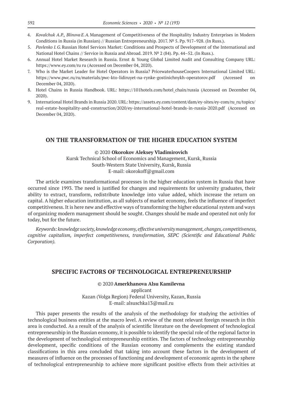- 4. *Kovalchuk A.P., Blinova E.A.* Management of Competitiveness of the Hospitality Industry Enterprises in Modern Conditions in Russia (in Russian) // Russian Entrepreneurship. 2017. № 5. Pp. 917–928. (In Russ.).
- 5. Pavlenko I. G. Russian Hotel Services Market: Conditions and Prospects of Development of the International and National Hotel Chains // Service in Russia and Abroad. 2019. № 2 (84). Pp. 44–52. (In Russ.).
- 6. Annual Hotel Market Research in Russia. Ernst & Young Global Limited Audit and Consulting Company URL: https://www.ey.com/ru ru (Accessed on December 04, 2020).
- 7. Who is the Market Leader for Hotel Operators in Russia? PricewaterhouseCoopers International Limited URL: https://www.pwc.ru/ru/materials/pwc-kto-lidiruyet-na-rynke-gostinichnykh-operatorov.pdf (Accessed on December 04, 2020).
- 8. Hotel Chains in Russia Handbook. URL: https://101hotels.com/hotel chain/russia (Accessed on December 04, 2020).
- 9. International Hotel Brands in Russia 2020. URL: https://assets.ey.com/content/dam/ey-sites/ey-com/ru\_ru/topics/ real-estate-hospitality-and-construction/2020/ey-international-hotel-brands-in-russia‑2020.pdf (Accessed on December 04, 2020).

### **ON THE TRANSFORMATION OF THE HIGHER EDUCATION SYSTEM**

#### © 2020 **Okorokov Aleksey Vladimirovich**

Kursk Technical School of Economics and Management, Kursk, Russia South-Western State University, Kursk, Russia E-mail: okorokoff@gmail.com

The article examines transformational processes in the higher education system in Russia that have occurred since 1993. The need is justified for changes and requirements for university graduates, their ability to extract, transform, redistribute knowledge into value added, which increase the return on capital. A higher education institution, as all subjects of market economy, feels the influence of imperfect competitiveness. It is here new and effective ways of transforming the higher educational system and ways of organizing modern management should be sought. Changes should be made and operated not only for today, but for the future.

*Keywords: knowledge society, knowledge economy, effective university management, changes, competitiveness, cognitive capitalism, imperfect competitiveness, transformation, SEPC (Scientific and Educational Public Corporation).*

### **SPECIFIC FACTORS OF TECHNOLOGICAL ENTREPRENEURSHIP**

© 2020 **Amerkhanova Alsu Kamilevna** applicant Kazan (Volga Region) Federal University, Kazan, Russia E-mail: alsuschka13@mail.ru

This paper presents the results of the analysis of the methodology for studying the activities of technological business entities at the macro level. A review of the most relevant foreign research in this area is conducted. As a result of the analysis of scientific literature on the development of technological entrepreneurship in the Russian economy, it is possible to identify the special role of the regional factor in the development of technological entrepreneurship entities. The factors of technology entrepreneurship development, specific conditions of the Russian economy and complements the existing standard classifications in this area concluded that taking into account these factors in the development of measures of influence on the processes of functioning and development of economic agents in the sphere of technological entrepreneurship to achieve more significant positive effects from their activities at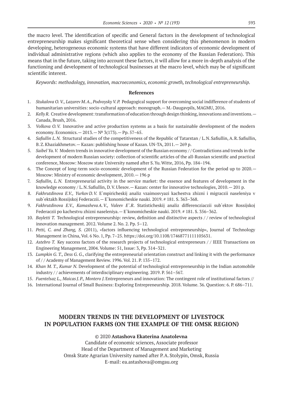the macro level. The identification of specific and General factors in the development of technological entrepreneurship makes significant theoretical sense when considering this phenomenon in modern developing, heterogeneous economic systems that have different indicators of economic development of individual administrative regions (which also applies to the economy of the Russian Federation). This means that in the future, taking into account these factors, it will allow for a more in-depth analysis of the functioning and development of technological businesses at the macro level, which may be of significant scientific interest.

*Keywords: methodology, innovation, macroeconomics, economic growth, technological entrepreneurship.*

#### **References**

- 1. *Stukalova O. V., Lazarev M.A., Podvoysky V.P.* Pedagogical support for overcoming social indifference of students of humanitarian universities: socio-cultural approach: monograph.— M.-Daugavpils, MAGMU, 2016.
- 2. *Kelly R.* Creative development: transformation of education through design thinking, innovations and inventions.— Canada, Brush, 2016.
- 3. *Volkova O.V.* Innovative and active production systems as a basis for sustainable development of the modern economy. Economics.— 2013.—№ 3(173).— Pp. 57–65.
- 4. *Safiullin L.N.* Structural studies of the competitiveness of the Republic of Tatarstan / L.N. Safiullin, A.R. Safiullin, B.Z.Khaziakhmetov.— Kazan: publishing house of Kazan. UN-TA, 2011.— 269 p.
- 5. *Saibel Ya. V.*Modern trends in innovative development of the Russian economy / / Contradictions and trends in the development of modern Russian society: collection of scientific articles of the all-Russian scientific and practical conference, Moscow: Moscow state University named after S.Yu.Witte, 2016, Pp. 184–194.
- 6. The Concept of long-term socio-economic development of the Russian Federation for the period up to 2020.— Moscow: Ministry of economic development, 2010.— 196 p
- 7. *Safiullin, L. N.* Entrepreneurial activity in the service market: the essence and features of development in the knowledge economy / L.N. Safiullin, D.V. Ulesov. — Kazan: center for innovative technologies, 2010. — 201 p.
- 8. *Fakhrutdinova E.V., Yurkov D. V.* E`mpiricheskij analiz vzaimosvyazi kachestva zhizni i migraczii naseleniya v sub`ektakh Rossijskoj Federaczii.— E`konomicheskie nauki. 2019. # 181. S. 363–368.
- 9. *Fakhrutdinova E.V., Kamasheva A. V., Valeev E`.R*. Statisticheskij analiz differencziaczii sub`ektov Rossijskoj Federaczii po kachestvu zhizni naseleniya.— E`konomicheskie nauki. 2019. # 181. S. 356–362.
- 10. *Bayletti T.* Technological entrepreneurship: review, definition and distinctive aspects / / review of technological innovation management. 2012. Volume 2. No. 2. Pp. 5–12.
- 11. *Petti, C. and Zhang, S.* (2011), «factors influencing technological entrepreneurship», Journal of Technology Management in China, Vol. 6 No. 1, Pp. 7–25. https://doi.org/10.1108/17468771111105631.
- 12. *Astebro T.* Key success factors of the research projects of technological entrepreneurs / / IEEE Transactions on Engineering Management, 2004. Volume: 51, Issue: 3, Pp. 314–321.
- 13. *Lumpkin G. T., Dess G. G.,* clarifying the entrepreneurial orientation construct and linking it with the performance of / / Academy of Management Review. 1996. Vol. 21. P. 135–172.
- 14. *Khan M. T., Kumar N.* Development of the potential of technological entrepreneurship in the Indian automobile industry // achievements of interdisciplinary engineering. 2019. P. 561-567.
- 15. *Fuentelsaz L., Maicas J.P., Montero J.*Entrepreneurs and innovation: The contingent role of institutional factors //
- 16. International Journal of Small Business: Exploring Entrepreneurship. 2018. Volume. 36. Question: 6. P. 686–711.

# **MODERN TRENDS IN THE DEVELOPMENT OF LIVESTOCK IN POPULATION FARMS (ON THE EXAMPLE OF THE OMSK REGION)**

### © 2020 **Astashova Ekaterina Anatolevna**

Candidate of economic sciences, Associate professor Head of the Department of Management and Marketing Omsk State Agrarian University named after P.A.Stolypin, Omsk, Russia E-mail: ea.astashova@omgau.org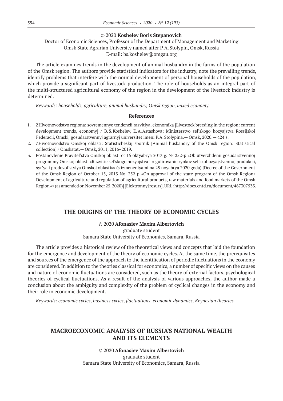#### © 2020 **Koshelev Boris Stepanovich**

Doctor of Economic Sciences, Professor of the Department of Management and Marketing Omsk State Agrarian University named after P.A.Stolypin, Omsk, Russia E-mail: bs.koshelev@omgau.org

The article examines trends in the development of animal husbandry in the farms of the population of the Omsk region. The authors provide statistical indicators for the industry, note the prevailing trends, identify problems that interfere with the normal development of personal households of the population, which provide a significant part of livestock production. The role of households as an integral part of the multi-structured agricultural economy of the region in the development of the livestock industry is determined.

*Keywords: households, agriculture, animal husbandry, Omsk region, mixed economy.*

#### **References**

- 1. ZHivotnovodstvo regiona: sovremennye tendencii razvitiya, ekonomika [Livestock breeding in the region: current development trends, economy] / B.S.Koshelev, E.A.Astashova; Ministerstvo sel'skogo hozyajstva Rossijskoj Federacii, Omskij gosudarstvennyj agrarnyj universitet imeni P.A.Stolypina.— Omsk, 2020.— 424 s.
- 2. ZHivotnovodstvo Omskoj oblasti: Statisticheskij sbornik [Animal husbandry of the Omsk region: Statistical collection] / Omskstat.— Omsk, 2011, 2016–2019.
- 3. Postanovlenie Pravitel'stva Omskoj oblasti ot 15 oktyabrya 2013 g. № 252‑p «Ob utverzhdenii gosudarstvennoj programmy Omskoj oblasti «Razvitie sel'skogo hozyajstva i regulirovanie rynkov sel'skohozyajstvennoj produkcii, syr'ya i prodovol'stviya Omskoj oblasti»» (s izmeneniyami na 25 noyabrya 2020 goda) [Decree of the Government of the Omsk Region of October 15, 2013 No. 252‑p «On approval of the state program of the Omsk Region» Development of agriculture and regulation of agricultural products, raw materials and food markets of the Omsk Region «» (as amended on November 25, 2020)] [Elektronnyj resurs]. URL: http://docs.cntd.ru/document/467307533.

### **THE ORIGINS OF THE THEORY OF ECONOMIC CYCLES**

#### © 2020 **Afonasiev Maxim Albertovich**

graduate student Samara State University of Economics, Samara, Russia

The article provides a historical review of the theoretical views and concepts that laid the foundation for the emergence and development of the theory of economic cycles. At the same time, the prerequisites and sources of the emergence of the approach to the identification of periodic fluctuations in the economy are considered. In addition to the theories classical for economics, a number of specific views on the causes and nature of economic fluctuations are considered, such as the theory of external factors, psychological theories of cyclical fluctuations. As a result of the analysis of various approaches, the author made a conclusion about the ambiguity and complexity of the problem of cyclical changes in the economy and their role in economic development.

*Keywords: economic cycles, business cycles, fluctuations, economic dynamics, Keynesian theories.*

# **MACROECONOMIC ANALYSIS OF RUSSIA'S NATIONAL WEALTH AND ITS ELEMENTS**

© 2020 **Afonasiev Maxim Albertovich** graduate student Samara State University of Economics, Samara, Russia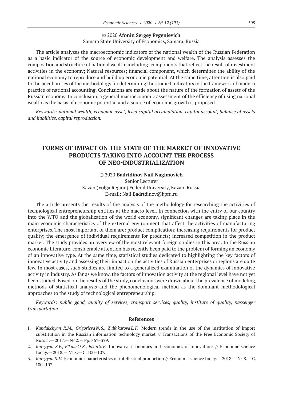# © 2020 **Afonin Sergey Evgenievich**

Samara State University of Economics, Samara, Russia

The article analyzes the macroeconomic indicators of the national wealth of the Russian Federation as a basic indicator of the source of economic development and welfare. The analysis assesses the composition and structure of national wealth, including: components that reflect the result of investment activities in the economy; Natural resources; financial component, which determines the ability of the national economy to reproduce and build up economic potential. At the same time, attention is also paid to the peculiarities of the methodology for determining the studied indicators in the framework of modern practice of national accounting. Conclusions are made about the nature of the formation of assets of the Russian economy. In conclusion, a general macroeconomic assessment of the efficiency of using national wealth as the basis of economic potential and a source of economic growth is proposed.

*Keywords: national wealth, economic asset, fixed capital accumulation, capital account, balance of assets and liabilities, capital reproduction.*

# **FORMS OF IMPACT ON THE STATE OF THE MARKET OF INNOVATIVE PRODUCTS TAKING INTO ACCOUNT THE PROCESS OF NEO-INDUSTRIALIZATION**

#### © 2020 **Badrtdinov Nail Nagimovich**

Senior Lecturer Kazan (Volga Region) Federal University, Kazan, Russia E-mail: Nail.Badrtdinov@kpfu.ru

The article presents the results of the analysis of the methodology for researching the activities of technological entrepreneurship entities at the macro level. In connection with the entry of our country into the WTO and the globalization of the world economy, significant changes are taking place in the main economic characteristics of the external environment that affect the activities of manufacturing enterprises. The most important of them are: product complication; increasing requirements for product quality; the emergence of individual requirements for products; increased competition in the product market. The study provides an overview of the most relevant foreign studies in this area. In the Russian economic literature, considerable attention has recently been paid to the problem of forming an economy of an innovative type. At the same time, statistical studies dedicated to highlighting the key factors of innovative activity and assessing their impact on the activities of Russian enterprises or regions are quite few. In most cases, such studies are limited to a generalized examination of the dynamics of innovative activity in industry. As far as we know, the factors of innovation activity at the regional level have not yet been studied. Based on the results of the study, conclusions were drawn about the prevalence of modeling, methods of statistical analysis and the phenomenological method as the dominant methodological approaches to the study of technological entrepreneurship.

*Keywords: public good, quality of services, transport services, quality, institute of quality, passenger transportation.*

- 1. *Kundakchyan R.M., Grigorieva N. S., Zulfakarova L. F.* Modern trends in the use of the institution of import substitution in the Russian information technology market // Transactions of the Free Economic Society of Russia.— 2017.—№ 2.— Pp. 367–379.
- 2. *Kuregyan S.V., Elkina O. S., Elkin S. E.* Innovative economics and economics of innovations // Economic science today.— 2018.—№ 8.— С. 100–107.
- 3. *Kuregyan S.V.* Economic characteristics of intellectual production // Economic science today.— 2018.— № 8.— С. 100–107.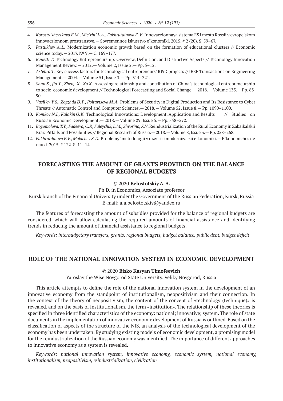- 4. *Korosty`shevskaya E.M., Mie`rin` L.A., Fakhrutdinova E. V.*Innovaczionnaya sistema ES i mesto Rossii v evropejskom innovaczionnom prostranstve.— Sovremennoe iskusstvo e`konomiki. 2015. # 2 (20). S. 59–67.
- 5. *Pastukhov A.L.* Modernization economic growth based on the formation of educational clusters // Economic science today.— 2017. № 9.— С. 169–177.
- 6. *Bailetti T.* Technology Entrepreneurship: Overview, Definition, and Distinctive Aspects // Technology Innovation Management Review.— 2012.— Volume 2, Issue 2.— Pp. 5–12.
- 7. *Astebro T.* Key success factors for technological entrepreneurs' R&D projects // IEEE Transactions on Engineering Management.— 2004.— Volume 51, Issue 3.— Pp. 314–321.
- 8. *Shan S., Jia Y., Zheng X., Xu X.*Assessing relationship and contribution of China's technological entrepreneurship to socio-economic development // Technological Forecasting and Social Change.— 2018.— Volume 135.— Pp. 83– 90.
- 9. *Vasil'ev Y.S., Zegzhda D. P., Poltavtseva M. A.* Problems of Security in Digital Production and Its Resistance to Cyber Threats // Automatic Control and Computer Sciences.— 2018.— Volume 52, Issue 8.— Pp. 1090–1100.
- 10. *Komkov N.I., Kulakin G.K.* Technological Innovations: Development, Application and Results // Studies on Russian Economic Development.— 2018.— Volume 29, Issue 5.— Pp. 558–572.
- 11. *Bogomolova,T.Y.,Fadeeva,O.P.,Faleychik,L.M.,Shvorina,K.V*. Reindustrialization of the Rural Economy in Zabaikalskii Krai: Pitfalls and Possibilities // Regional Research of Russia.— 2018.— Volume 8, Issue 3.— Pp. 258–268.
- 12. *Fakhrutdinova E.V., Mokichev S. D.*Problemy` metodologii v razvitii i modernizaczii e`konomiki.—E`konomicheskie nauki. 2015. # 122. S. 11–14.

# **FORECASTING THE AMOUNT OF GRANTS PROVIDED ON THE BALANCE OF REGIONAL BUDGETS**

#### © 2020 **Belostotskiy A.A.**

Ph.D. in Economics, Associate professor

Kursk branch of the Financial University under the Government of the Russian Federation, Kursk, Russia Е-mail: a.a.belostotskiy@yandex.ru

The features of forecasting the amount of subsidies provided for the balance of regional budgets are considered, which will allow calculating the required amounts of financial assistance and identifying trends in reducing the amount of financial assistance to regional budgets.

*Keywords: interbudgetary transfers, grants, regional budgets, budget balance, public debt, budget deficit*

### **ROLE OF THE NATIONAL INNOVATION SYSTEM IN ECONOMIC DEVELOPMENT**

### © 2020 **Bisko Kasyan Timofeevich**

Yaroslav the Wise Novgorod State University, Veliky Novgorod, Russia

This article attempts to define the role of the national innovation system in the development of an innovative economy from the standpoint of institutionalism, neopositivism and their connection. In the context of the theory of neopositivism, the content of the concept of «technology (technique)» is revealed, and on the basis of institutionalism, the term «institution». The relationship of these theories is specified in three identified characteristics of the economy: national; innovative; system. The role of state documents in the implementation of innovative economic development of Russia is outlined. Based on the classification of aspects of the structure of the NIS, an analysis of the technological development of the economy has been undertaken. By studying existing models of economic development, a promising model for the reindustrialization of the Russian economy was identified. The importance of different approaches to innovative economy as a system is revealed.

*Keywords: national innovation system, innovative economy, economic system, national economy, institutionalism, neopositivism, reindustrialization, civilization*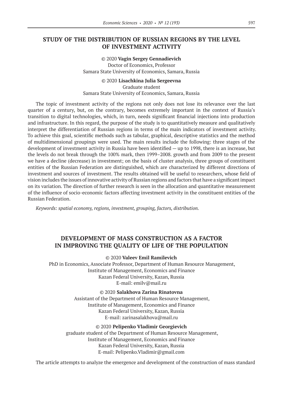### **STUDY OF THE DISTRIBUTION OF RUSSIAN REGIONS BY THE LEVEL OF INVESTMENT ACTIVITY**

© 2020 **Vagin Sergey Gennadievich** Doctor of Economics, Professor Samara State University of Economics, Samara, Russia

© 2020 **Lisachkina Julia Sergeevna** Graduate student Samara State University of Economics, Samara, Russia

The topic of investment activity of the regions not only does not lose its relevance over the last quarter of a century, but, on the contrary, becomes extremely important in the context of Russia's transition to digital technologies, which, in turn, needs significant financial injections into production and infrastructure. In this regard, the purpose of the study is to quantitatively measure and qualitatively interpret the differentiation of Russian regions in terms of the main indicators of investment activity. To achieve this goal, scientific methods such as tabular, graphical, descriptive statistics and the method of multidimensional groupings were used. The main results include the following: three stages of the development of investment activity in Russia have been identified — up to 1998, there is an increase, but the levels do not break through the 100% mark, then 1999–2008. growth and from 2009 to the present we have a decline (decrease) in investment; on the basis of cluster analysis, three groups of constituent entities of the Russian Federation are distinguished, which are characterized by different directions of investment and sources of investment. The results obtained will be useful to researchers, whose field of vision includes the issues of innovative activity of Russian regions and factors that have a significant impact on its variation. The direction of further research is seen in the allocation and quantitative measurement of the influence of socio-economic factors affecting investment activity in the constituent entities of the Russian Federation.

*Keywords: spatial economy, regions, investment, grouping, factors, distribution.*

# **DEVELOPMENT OF MASS CONSTRUCTION AS A FACTOR IN IMPROVING THE QUALITY OF LIFE OF THE POPULATION**

© 2020 **Valeev Emil Ramilevich**

PhD in Economics, Associate Professor, Department of Human Resource Management, Institute of Management, Economics and Finance Kazan Federal University, Kazan, Russia E-mail: emilv@mail.ru

© 2020 **Salakhova Zarina Rinatovna**

Assistant of the Department of Human Resource Management, Institute of Management, Economics and Finance Kazan Federal University, Kazan, Russia E-mail: zarinasalakhova@mail.ru

© 2020 **Pelipenko Vladimir Georgievich** graduate student of the Department of Human Resource Management, Institute of Management, Economics and Finance Kazan Federal University, Kazan, Russia E-mail: Pelipenko.Vladimir@gmail.com

The article attempts to analyze the emergence and development of the construction of mass standard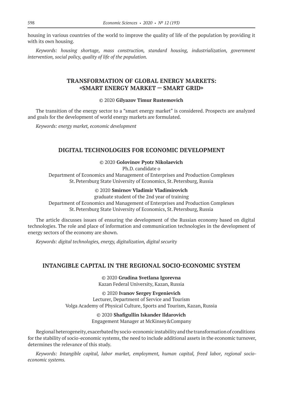housing in various countries of the world to improve the quality of life of the population by providing it with its own housing.

*Keywords: housing shortage, mass construction, standard housing, industrialization, government intervention, social policy, quality of life of the population.*

# **TRANSFORMATION OF GLOBAL ENERGY MARKETS: «SMART ENERGY MARKET — SMART GRID»**

#### © 2020 **Gilyazov Timur Rustemovich**

The transition of the energy sector to a "smart energy market" is considered. Prospects are analyzed and goals for the development of world energy markets are formulated.

*Keywords: energy market, economic development*

### **DIGITAL TECHNOLOGIES FOR ECONOMIC DEVELOPMENT**

© 2020 **Golovinov Pyotr Nikolaevich**

Ph.D. candidate o

Department of Economics and Management of Enterprises and Production Complexes St.Petersburg State University of Economics, St.Petersburg, Russia

### © 2020 **Smirnov Vladimir Vladimirovich**

graduate student of the 2nd year of training Department of Economics and Management of Enterprises and Production Complexes St.Petersburg State University of Economics, St.Petersburg, Russia

The article discusses issues of ensuring the development of the Russian economy based on digital technologies. The role and place of information and communication technologies in the development of energy sectors of the economy are shown.

*Keywords: digital technologies, energy, digitalization, digital security*

### **INTANGIBLE CAPITAL IN THE REGIONAL SOCIO-ECONOMIC SYSTEM**

© 2020 **Grudina Svetlana Igorevna** Kazan Federal University, Kazan, Russia

© 2020 **Ivanov Sergey Evgenievich** Lecturer, Department of Service and Tourism Volga Academy of Physical Culture, Sports and Tourism, Kazan, Russia

> © 2020 **Shafigullin Iskander Ildarovich** Engagement Manager at МcKinsey&Company

Regional heterogeneity, exacerbated by socio-economic instability and the transformation of conditions for the stability of socio-economic systems, the need to include additional assets in the economic turnover, determines the relevance of this study.

*Keywords: Intangible capital, labor market, employment, human capital, freed labor, regional socioeconomic systems.*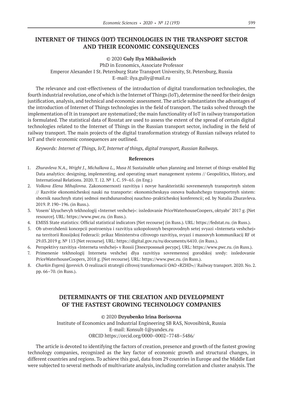# **INTERNET OF THINGS (IOT) TECHNOLOGIES IN THE TRANSPORT SECTOR AND THEIR ECONOMIC CONSEQUENCES**

### © 2020 **Guly Ilya Mikhailovich**

PhD in Economics, Associate Professor Emperor Alexander I St.Petersburg State Transport University, St.Petersburg, Russia E-mail: ilya.guliy@mail.ru

The relevance and cost-effectiveness of the introduction of digital transformation technologies, the fourth industrial revolution, one of which is the Internet of Things (IoT), determine the need for their design justification, analysis, and technical and economic assessment. The article substantiates the advantages of the introduction of Internet of Things technologies in the field of transport. The tasks solved through the implementation of It in transport are systematized; the main functionality of IoT in railway transportation is formulated. The statistical data of Rosstat are used to assess the extent of the spread of certain digital technologies related to the Internet of Things in the Russian transport sector, including in the field of railway transport. The main projects of the digital transformation strategy of Russian railways related to IoT and their economic consequences are outlined.

*Keywords: Internet of Things, IoT, Internet of things, digital transport, Russian Railways.*

### **References**

- 1. *Zhuravleva N.A., Wright J., Michalkova L., Musa H.*Sustainable urban planning and Internet of things-enabled Big Data analytics: designing, implementing, and operating smart management systems // Geopolitics, History, and International Relations. 2020. Т. 12. № 1. С. 59–65. (in Eng.)
- 2. *Volkova Elena Mihajlovna*. Zakonomernosti razvitiya i novye harakteristiki sovremennyh transportnyh sistem // Razvitie ekonomicheskoj nauki na transporte: ekonomicheskaya osnova budushchego transportnyh sistem: sbornik nauchnyh statej sedmoi mezhdunarodnoj nauchno-prakticheskoj konferencii; ed. by Natalia Zhuravleva. 2019. P. 190–196. (in Russ.).
- 3. Vosem' klyuchevyh tekhnologij «Internet veshchej»: issledovanie PriceWaterhouseCoopers, oktyabr' 2017 g. [Net resource]. URL: https://www.pwc.ru. (in Russ.).
- 4. EMISS State statistics: Official statistical indicators [Net recourse] (in Russ.). URL: https://fedstat.ru. (in Russ.).
- 5. Ob utverzhdenii koncepcii postroeniya i razvitiya uzkopolosnyh besprovodnyh setej svyazi «Interneta veshchej» na territorii Rossijskoj Federacii: prikaz Ministerstva cifrovogo razvitiya, svyazi i massovyh kommunikacij RF ot 29.03.2019 g. № 113 [Net recourse]. URL: https://digital.gov.ru/ru/documents/6410. (in Russ.).
- 6. Perspektivy razvitiya «Interneta veshchej» v Rossii [Электронный ресурс]. URL: https://www.pwc.ru. (in Russ.).
- 7. Primenenie tekhnologij Interneta veshchej dlya razvitiya sovremennoj gorodskoj sredy: issledovanie PriceWaterhouseCoopers, 2018 g. [Net recourse]. URL: https://www.pwc.ru. (in Russ.).
- 8. *Charkin Evgenij Igorevich*. O realizacii strategii cifrovoj transformacii OAO «RZHD»// Railway transport. 2020. No. 2. pp. 66–70. (in Russ.).

# **DETERMINANTS OF THE CREATION AND DEVELOPMENT OF THE FASTEST GROWING TECHNOLOGY COMPANIES**

### © 2020 **Dzyubenko Irina Borisovna**

Institute of Economics and Industrial Engineering SB RAS, Novosibirsk, Russia Е-mail: Konsult-I@yandex.ru ORCID https://orcid.org/0000–0002–7748–5486/

The article is devoted to identifying the factors of creation, presence and growth of the fastest growing technology companies, recognized as the key factor of economic growth and structural changes, in different countries and regions. To achieve this goal, data from 29 countries in Europe and the Middle East were subjected to several methods of multivariate analysis, including correlation and cluster analysis. The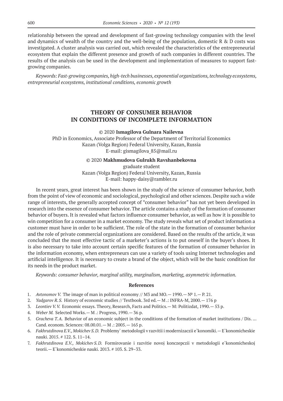relationship between the spread and development of fast-growing technology companies with the level and dynamics of wealth of the country and the well-being of the population, domestic  $R \& D$  costs was investigated. A cluster analysis was carried out, which revealed the characteristics of the entrepreneurial ecosystem that explain the different presence and growth of such companies in different countries. The results of the analysis can be used in the development and implementation of measures to support fastgrowing companies.

*Keywords: Fast-growing companies, high-tech businesses, exponential organizations, technology ecosystems, entrepreneurial ecosystems, institutional conditions, economic growth*

### **THEORY OF CONSUMER BEHAVIOR IN CONDITIONS OF INCOMPLETE INFORMATION**

© 2020 **Ismagilova Gulnara Nailevna**

PhD in Economics, Associate Professor of the Department of Territorial Economics Kazan (Volga Region) Federal University, Kazan, Russia E-mail: gismagilova\_85@mail.ru

#### © 2020 **Makhmudova Gulrukh Ravshanbekovna**

graduate student Kazan (Volga Region) Federal University, Kazan, Russia E-mail: happy-daisy@rambler.ru

In recent years, great interest has been shown in the study of the science of consumer behavior, both from the point of view of economic and sociological, psychological and other sciences. Despite such a wide range of interests, the generally accepted concept of "consumer behavior" has not yet been developed in research into the essence of consumer behavior. The article contains a study of the formation of consumer behavior of buyers. It is revealed what factors influence consumer behavior, as well as how it is possible to win competition for a consumer in a market economy. The study reveals what set of product information a customer must have in order to be sufficient. The role of the state in the formation of consumer behavior and the role of private commercial organizations are considered. Based on the results of the article, it was concluded that the most effective tactic of a marketer's actions is to put oneself in the buyer's shoes. It is also necessary to take into account certain specific features of the formation of consumer behavior in the information economy, when entrepreneurs can use a variety of tools using Internet technologies and artificial intelligence. It is necessary to create a brand of the object, which will be the basic condition for its needs in the product market.

*Keywords: consumer behavior, marginal utility, marginalism, marketing, asymmetric information.*

- 1. *Avtonomov V.* The image of man in political economy // M3 and MO. 1990. № 1. P. 21.
- 2. *Yadgarov R. S.* History of economic studies // Textbook. 3rd ed.— M .: INFRA-M, 2000.— 176 p
- 3. *Leontiev V. V.* Economic essays. Theory, Research, Facts and Politics.— M: Politizdat, 1990.— 53 p.
- 4. *Weber M.* Selected Works.— M .: Progress, 1990.— 36 p.
- 5. *Gracheva T.A.* Behavior of an economic subject in the conditions of the formation of market institutions / Dis. ... Cand. econom. Sciences: 08.00.01.— M .: 2005.— 165 p.
- 6. *Fakhrutdinova E.V., Mokichev S. D.*Problemy` metodologii v razvitii i modernizaczii e`konomiki.—E`konomicheskie nauki. 2015. # 122. S. 11–14.
- 7. *Fakhrutdinova E.V., Mokichev S. D.* Formirovanie i razvitie novoj konczepczii v metodologii e`konomicheskoj teorii.— E`konomicheskie nauki. 2013. # 103. S. 29–33.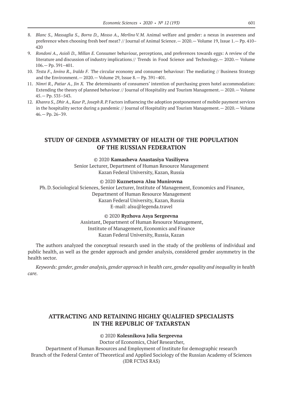- 8. *Blanc S., Massaglia S., Borra D., Mosso A., MerlinoV.M.* Animal welfare and gender: a nexus in awareness and preference when choosing fresh beef meat? // Journal of Animal Science.— 2020.— Volume 19, Issue 1.— Pp. 410– 420
- 9. *Rondoni A., Asioli D., Millan E.* Consumer behaviour, perceptions, and preferences towards eggs: A review of the literature and discussion of industry implications // Trends in Food Science and Technology.— 2020.— Volume 106.— Pp. 391–401.
- 10. *Testa F., Iovino R., Iraldo F.* The circular economy and consumer behaviour: The mediating // Business Strategy and the Environment.— 2020.— Volume 29, Issue 8.— Pp. 391–401.
- 11. *Nimri R., Patiar A., Jin X.* The determinants of consumers' intention of purchasing green hotel accommodation: Extending the theory of planned behaviour // Journal of Hospitality and Tourism Management.— 2020.— Volume 45.— Pp. 535–543.
- 12. *Khanra S., Dhir A., Kaur P., Joseph R.P.* Factors influencing the adoption postponement of mobile payment services in the hospitality sector during a pandemic // Journal of Hospitality and Tourism Management.— 2020.— Volume 46.— Pp. 26–39.

# **STUDY OF GENDER ASYMMETRY OF HEALTH OF THE POPULATION OF THE RUSSIAN FEDERATION**

#### © 2020 **Kamasheva Anastasiya Vasiliyeva**

Senior Lecturer, Department of Human Resource Management Kazan Federal University, Kazan, Russia

#### © 2020 **Kuznetsova Alsu Munirovna**

Ph.D.Sociological Sciences, Senior Lecturer, Institute of Management, Economics and Finance, Department of Human Resource Management Kazan Federal University, Kazan, Russia E-mail: alsu@legenda.travel

#### © 2020 **Ryzhova Asya Sergeevna**

Assistant, Department of Human Resource Management, Institute of Management, Economics and Finance Kazan Federal University, Russia, Kazan

The authors analyzed the conceptual research used in the study of the problems of individual and public health, as well as the gender approach and gender analysis, considered gender asymmetry in the health sector.

*Keywords: gender, gender analysis, gender approach in health care, gender equality and inequality in health care.*

### **ATTRACTING AND RETAINING HIGHLY QUALIFIED SPECIALISTS IN THE REPUBLIC OF TATARSTAN**

#### © 2020 **Kolesnikova Julia Sergeevna**

Doctor of Economics, Chief Researcher, Department of Human Resources and Employment of Institute for demographic research Branch of the Federal Center of Theoretical and Applied Sociology of the Russian Academy of Sciences (IDR FCTAS RAS)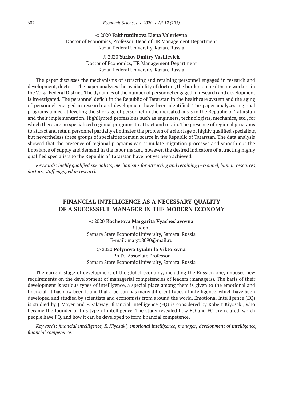© 2020 **Fakhrutdinova Elena Valerievna** Doctor of Economics, Professor, Head of HR Management Department Kazan Federal University, Kazan, Russia

### © 2020 **Yurkov Dmitry Vasilievich** Doctor of Economics, HR Management Department Kazan Federal University, Kazan, Russia

The paper discusses the mechanisms of attracting and retaining personnel engaged in research and development, doctors. The paper analyzes the availability of doctors, the burden on healthcare workers in the Volga Federal District. The dynamics of the number of personnel engaged in research and development is investigated. The personnel deficit in the Republic of Tatarstan in the healthcare system and the aging of personnel engaged in research and development have been identified. The paper analyzes regional programs aimed at leveling the shortage of personnel in the indicated areas in the Republic of Tatarstan and their implementation. Highlighted professions such as engineers, technologists, mechanics, etc., for which there are no specialized regional programs to attract and retain. The presence of regional programs to attract and retain personnel partially eliminates the problem of a shortage of highly qualified specialists, but nevertheless these groups of specialties remain scarce in the Republic of Tatarstan. The data analysis showed that the presence of regional programs can stimulate migration processes and smooth out the imbalance of supply and demand in the labor market, however, the desired indicators of attracting highly qualified specialists to the Republic of Tatarstan have not yet been achieved.

*Keywords: highly qualified specialists, mechanisms for attracting and retaining personnel, human resources, doctors, staff engaged in research*

### **FINANCIAL INTELLIGENCE AS A NECESSARY QUALITY OF A SUCCESSFUL MANAGER IN THE MODERN ECONOMY**

© 2020 **Kochetova Margarita Vyacheslavovna** Student Samara State Economic University, Samara, Russia E-mail: margo8090@mail.ru

© 2020 **Polynova Lyudmila Viktorovna** Ph.D., Associate Professor Samara State Economic University, Samara, Russia

The current stage of development of the global economy, including the Russian one, imposes new requirements on the development of managerial competencies of leaders (managers). The basis of their development is various types of intelligence, a special place among them is given to the emotional and financial. It has now been found that a person has many different types of intelligence, which have been developed and studied by scientists and economists from around the world. Emotional Intelligence (EQ) is studied by J.Mayer and P.Salaway; financial intelligence (FQ) is considered by Robert Kiyosaki, who became the founder of this type of intelligence. The study revealed how EQ and FQ are related, which people have FQ, and how it can be developed to form financial competence.

*Keywords: financial intelligence, R. Kiyosaki, emotional intelligence, manager, development of intelligence, financial competence.*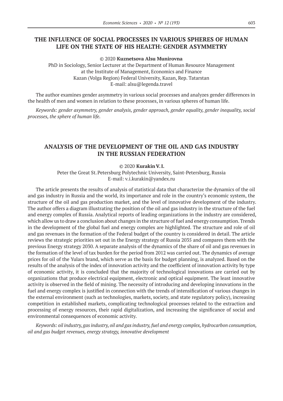# **THE INFLUENCE OF SOCIAL PROCESSES IN VARIOUS SPHERES OF HUMAN LIFE ON THE STATE OF HIS HEALTH: GENDER ASYMMETRY**

© 2020 **Kuznetsova Alsu Munirovna**

PhD in Sociology, Senior Lecturer at the Department of Human Resource Management at the Institute of Management, Economics and Finance Kazan (Volga Region) Federal University, Kazan, Rep. Tatarstan E-mail: alsu@legenda.travel

The author examines gender asymmetry in various social processes and analyzes gender differences in the health of men and women in relation to these processes, in various spheres of human life.

*Keywords: gender asymmetry, gender analysis, gender approach, gender equality, gender inequality, social processes, the sphere of human life.*

# **ANALYSIS OF THE DEVELOPMENT OF THE OIL AND GAS INDUSTRY IN THE RUSSIAN FEDERATION**

### © 2020 **Kurakin V.I.**

Peter the Great St. Petersburg Polytechnic University, Saint-Petersburg, Russia E-mail: v.i.kurakin@yandex.ru

The article presents the results of analysis of statistical data that characterize the dynamics of the oil and gas industry in Russia and the world, its importance and role in the country's economic system, the structure of the oil and gas production market, and the level of innovative development of the industry. The author offers a diagram illustrating the position of the oil and gas industry in the structure of the fuel and energy complex of Russia. Analytical reports of leading organizations in the industry are considered, which allow us to draw a conclusion about changes in the structure of fuel and energy consumption. Trends in the development of the global fuel and energy complex are highlighted. The structure and role of oil and gas revenues in the formation of the Federal budget of the country is considered in detail. The article reviews the strategic priorities set out in the Energy strategy of Russia 2035 and compares them with the previous Energy strategy 2030. A separate analysis of the dynamics of the share of oil and gas revenues in the formation of the level of tax burden for the period from 2012 was carried out. The dynamics of average prices for oil of the Yulars brand, which serve as the basis for budget planning, is analyzed. Based on the results of the analysis of the index of innovation activity and the coefficient of innovation activity by type of economic activity, it is concluded that the majority of technological innovations are carried out by organizations that produce electrical equipment, electronic and optical equipment. The least innovative activity is observed in the field of mining. The necessity of introducing and developing innovations in the fuel and energy complex is justified in connection with the trends of intensification of various changes in the external environment (such as technologies, markets, society, and state regulatory policy), increasing competition in established markets, complicating technological processes related to the extraction and processing of energy resources, their rapid digitalization, and increasing the significance of social and environmental consequences of economic activity.

*Keywords: oil industry, gas industry, oil and gas industry, fuel and energy complex, hydrocarbon consumption, oil and gas budget revenues, energy strategy, innovative development*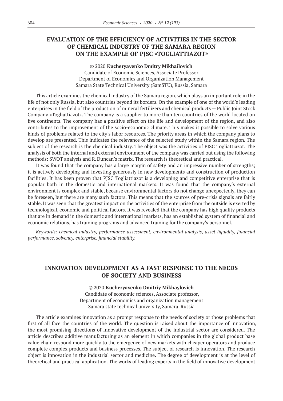# **EVALUATION OF THE EFFICIENCY OF ACTIVITIES IN THE SECTOR OF CHEMICAL INDUSTRY OF THE SAMARA REGION ON THE EXAMPLE OF PJSC «TOGLIATTIAZOT»**

© 2020 **Kucheryavenko Dmitry Mikhailovich** Candidate of Economic Sciences, Associate Professor, Department of Economics and Organization Management Samara State Technical University (SamSTU), Russia, Samara

This article examines the chemical industry of the Samara region, which plays an important role in the life of not only Russia, but also countries beyond its borders. On the example of one of the world's leading enterprises in the field of the production of mineral fertilizers and chemical products — Public Joint Stock Company «Togliattiazot». The company is a supplier to more than ten countries of the world located on five continents. The company has a positive effect on the life and development of the region, and also contributes to the improvement of the socio-economic climate. This makes it possible to solve various kinds of problems related to the city's labor resources. The priority areas in which the company plans to develop are presented. This indicates the relevance of the selected study within the Samara region. The subject of the research is the chemical industry. The object was the activities of PJSC Togliattiazot. The analysis of both the internal and external environment of the company was carried out using the following methods: SWOT analysis and R.Duncan's matrix. The research is theoretical and practical.

It was found that the company has a large margin of safety and an impressive number of strengths; it is actively developing and investing generously in new developments and construction of production facilities. It has been proven that PJSC Togliattiazot is a developing and competitive enterprise that is popular both in the domestic and international markets. It was found that the company's external environment is complex and stable, because environmental factors do not change unexpectedly, they can be foreseen, but there are many such factors. This means that the sources of pre-crisis signals are fairly stable. It was seen that the greatest impact on the activities of the enterprise from the outside is exerted by technological, economic and political factors. It was revealed that the company has high quality products that are in demand in the domestic and international markets, has an established system of financial and economic relations, has training programs and advanced training for the company's personnel.

*Keywords: chemical industry, performance assessment, environmental analysis, asset liquidity, financial performance, solvency, enterprise, financial stability.*

# **INNOVATION DEVELOPMENT AS A FAST RESPONSE TO THE NEEDS OF SOCIETY AND BUSINESS**

© 2020 **Kucheryavenko Dmitriy Mikhaylovich** Candidate of economic sciences, Associate professor, Department of economics and organization management Samara state technical university, Samara, Russia

The article examines innovation as a prompt response to the needs of society or those problems that first of all face the countries of the world. The question is raised about the importance of innovation, the most promising directions of innovative development of the industrial sector are considered. The article describes additive manufacturing as an element in which companies in the global product base value chain respond more quickly to the emergence of new markets with cheaper operators and produce complete complex products and business processes. The subject of research is innovation. The research object is innovation in the industrial sector and medicine. The degree of development is at the level of theoretical and practical application. The works of leading experts in the field of innovative development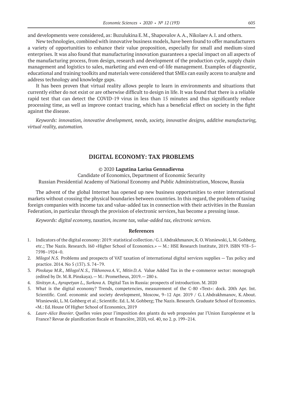and developments were considered, as: Buzulukina E.M., ShapovalovA.A., NikolaevA.I. and others.

New technologies, combined with innovative business models, have been found to offer manufacturers a variety of opportunities to enhance their value proposition, especially for small and medium-sized enterprises. It was also found that manufacturing innovation guarantees a special impact on all aspects of the manufacturing process, from design, research and development of the production cycle, supply chain management and logistics to sales, marketing and even end-of-life management. Examples of diagnostic, educational and training toolkits and materials were considered that SMEs can easily access to analyze and address technology and knowledge gaps.

It has been proven that virtual reality allows people to learn in environments and situations that currently either do not exist or are otherwise difficult to design in life. It was found that there is a reliable rapid test that can detect the COVID-19 virus in less than 15 minutes and thus significantly reduce processing time, as well as improve contact tracing, which has a beneficial effect on society in the fight against the disease.

*Keywords: innovation, innovative development, needs, society, innovative designs, additive manufacturing, virtual reality, automation.*

### **DIGITAL ECONOMY: TAX PROBLEMS**

#### © 2020 **Lagutina Larisa Gennadievna**

Candidate of Economics, Department of Economic Security Russian Presidential Academy of National Economy and Public Administration, Moscow, Russia

The advent of the global Internet has opened up new business opportunities to enter international markets without crossing the physical boundaries between countries. In this regard, the problem of taxing foreign companies with income tax and value-added tax in connection with their activities in the Russian Federation, in particular through the provision of electronic services, has become a pressing issue.

*Keywords: digital economy, taxation, income tax, value-added tax, electronic services.*

- 1. Indicators of the digital economy: 2019: statistical collection / G.I.Abdrakhmanov, K.O.Wisniewski, L.M.Gohberg, etc.; The Nazis. Research. I60 «Higher School of Economics.» — M.: HSE Research Institute, 2019. ISBN 978–5– 7598–1924–0.
- 2. *Milogol N.S.* Problems and prospects of VAT taxation of international digital services supplies Tax policy and practice. 2014. No 5 (137). S. 74–79.
- 3. *Pinskaya M.R., Milogol N.S., TikhonovaA.V., Mitin D.A.* Value Added Tax in the e-commerce sector: monograph (edited by Dr. M.R.Pinskaya).— M.: Prometheus, 2019.— 280 s.
- 4. *Sinitsyn A., Ayrapetyan L., Surkova A.* Digital Tax in Russia: prospects of introduction. M. 2020
- 5. What is the digital economy? Trends, competencies, measurement of the C‑80 «Text»: dock. 20th Apr. Int. Scientific. Conf. economic and society development, Moscow, 9–12 Apr. 2019 / G.I.Abdrakhmanov, K.About. Wisniewski, L.M.Gohberg et al.; Scientific. Ed. L.M.Gohberg; The Nazis. Research. Graduate School of Economics. «M.: Ed.House Of Higher School of Economics, 2019
- 6. *Laure-Alice Bouvier*. Quelles voies pour l'imposition des géants du web proposées par l'Union Européenne et la France? Revue de planification fiscale et financière, 2020, vol. 40, no 2. p. 199–214.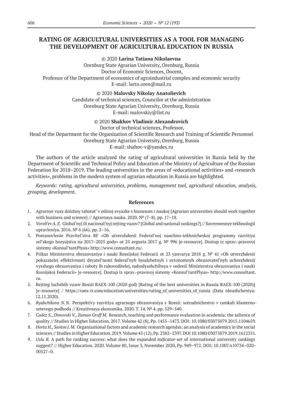# **RATING OF AGRICULTURAL UNIVERSITIES AS A TOOL FOR MANAGING THE DEVELOPMENT OF AGRICULTURAL EDUCATION IN RUSSIA**

### © 2020 **Larina Tatiana Nikolaevna**

Orenburg State Agrarian University, Orenburg, Russia Doctor of Economic Sciences, Docent, Professor of the Department of economics of agroindustrial complex and economic security E-mail: lartn.oren@mail.ru

© 2020 **Malovsky Nikolay Anatolievich**

Candidate of technical sciences, Councilor at the administration Orenburg State Agrarian University, Orenburg, Russia E-mail: malovskiy@list.ru

### © 2020 **Shakhov Vladimir Alexandrovich**

Doctor of technical sciences, Professor,

Head of the Department for the Organization of Scientific Research and Training of Scientific Personnel Orenburg State Agrarian University, Orenburg, Russia

E-mail: shahov-v@yandex.ru

The authors of the article analyzed the rating of agricultural universities in Russia held by the Department of Scientific and Technical Policy and Education of the Ministry of Agriculture of the Russian Federation for 2018–2019. The leading universities in the areas of «educational activities» and «research activities», problems in the modern system of agrarian education in Russia are highlighted.

*Keywords: rating, agricultural universities, problems, management tool, agricultural education, analysis, grouping, development.*

- 1. Agrarnye vuzy dolzhny rabotat' v edinoj svyazke s biznesom i naukoj [Agrarian universities should work together with business and science] // Agrarnaya nauka. 2020. № (7–8). pp. 17–18.
- 2. *Vorob'evA. E.* Global'nyj ili nacional'nyj rejting vuzov? [Global and national rankings?] // Sovremennye tekhnologii upravleniya. 2016. № 6 (66). pp. 2–16.
- 3. Postanovlenie Pravitel'stva RF «Ob utverzhdenii Federal'noj nauchno-tekhnicheskoj programmy razvitiya sel'skogo hozyajstva na 2017–2025 gody» ot 25 avgusta 2017 g. № 996 [e-resource]. Dostup iz sprav.-pravovoj sistemy «Konsul'tantPlyus» http://www.consultant.ru/.
- 4. Prikaz Ministerstva obrazovaniya i nauki Rossijskoj Federacii ot 23 yanvarya 2018 g. № 41 «Ob utverzhdenii pokazatelej effektivnosti deyatel'nosti federal'nyh byudzhetnyh i avtonomnyh obrazovatel'nyh uchrezhdenij vysshego obrazovaniya i raboty ih rukovoditelej, nahodyashchihsya v vedenii Ministerstva obrazovaniya i nauki Rossijskoj Federacii» [e-resource]. Dostup iz sprav.-pravovoj sistemy «Konsul'tantPlyus» http://www.consultant. ru.
- 5. Rejting luchshih vuzov Rossii RAEX‑100 (2020 god) [Rating of the best universities in Russia RAEX‑100 (2020)] [e-resource] / https://raex-rr.com/education/universities/rating of universities of russia (Data obrashcheniya: 12.11.2020).
- 6. *Ryabchikova N.N.* Perspektivy razvitiya agrarnogo obrazovaniya v Rossii: sotrudnichestvo v ramkah klasternosetevogo podhoda // Kreativnaya ekonomika. 2020. T. 14. № 4. pp. 529–540.
- 7. Cadez S., Dimovski V., Zaman Groff M. Research, teaching and performance evaluation in academia: the salience of quality // Studies in Higher Education. 2017. Volume 42 (8), Pp. 1455–1473. DOI: 10.1080/03075079.2015.1104659.
- 8. *Horta H., Santos J.M.* Organisational factors and academic research agendas: an analysis of academics in the social sciences // Studies in Higher Education. 2019. Volume 45 (12), Pp. 2382–2397. DOI 10.1080/03075079.2019.1612351.
- 9. *Uslu B.* A path for ranking success: what does the expanded indicator-set of international university rankings suggest? // Higher Education. 2020. Volume 80, Issue 3, November 2020, Pp. 949–972. DOI: 10.1007/s10734–020– 00527–0.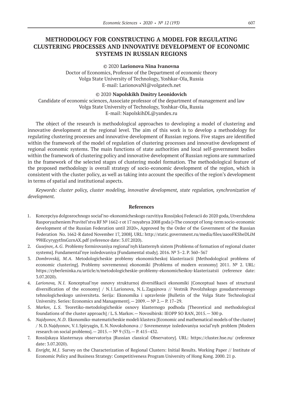# **METHODOLOGY FOR CONSTRUCTING A MODEL FOR REGULATING CLUSTERING PROCESSES AND INNOVATIVE DEVELOPMENT OF ECONOMIC SYSTEMS IN RUSSIAN REGIONS**

#### © 2020 **Larionova Nina Ivanovna**

Doctor of Economics, Professor of the Department of economic theory Volga State University of Technology, Yoshkar-Ola, Russia E-mail: LarionovaNI@volgatech.net

#### © 2020 **Napolskikh Dmitry Leonidovich**

Candidate of economic sciences, Associate professor of the department of management and law Volga State University of Technology, Yoshkar-Ola, Russia E-mail: NapolskihDL@yandex.ru

The object of the research is methodological approaches to developing a model of clustering and innovative development at the regional level. The aim of this work is to develop a methodology for regulating clustering processes and innovative development of Russian regions. Five stages are identified within the framework of the model of regulation of clustering processes and innovative development of regional economic systems. The main functions of state authorities and local self-government bodies within the framework of clustering policy and innovative development of Russian regions are summarized in the framework of the selected stages of clustering model formation. The methodological feature of the proposed methodology is overall strategy of socio-economic development of the region, which is consistent with the cluster policy, as well as taking into account the specifics of the region's development in terms of spatial and institutional aspects.

*Keywords: cluster policy, cluster modeling, innovative development, state regulation, synchronization of development.*

- 1. Koncepciya dolgosrochnogo social'no-ekonomicheskogo razvitiya Rossijskoj Federacii do 2020 goda, Utverzhdena Rasporyazheniem Pravitel'stva RF № 1662‑r ot 17 noyabrya 2008 goda [«The concept of long-term socio-economic development of the Russian Federation until 2020», Approved by the Order of the Government of the Russian Federation No. 1662-R dated November 17, 2008]. URL: http://static.government.ru/media/files/aaooFKSheDLiM 99HEcyrygytfmGzrnAX.pdf (reference date: 3.07.2020).
- 2. *Gusejnov,A. G*. Problemy formirovaniya regional'nyh klasternyh sistem [Problems of formation of regional cluster systems]. Fundamental'nye issledovaniya [Fundamental study]. 2016. № 3–2. P. 360–367
- 3. *Dombrovskij, M.A*. Metodologicheskie problemy ekonomicheskoj klasterizacii [Methodological problems of economic clustering]. Problemy sovremennoj ekonomiki [Problems of modern economy] 2011. № 2. URL: https://cyberleninka.ru/article/n/metodologicheskie-problemy-ekonomicheskoy-klasterizatsii (reference date: 3.07.2020).
- 4. *Larionova, N.I*. Konceptual'nye osnovy strukturnoj diversifikacii ekonomiki [Conceptual bases of structural diversification of the economy] / N.I.Larionova, N.L.Zagajnova // Vestnik Povolzhskogo gosudarstvennogo tehnologicheskogo universiteta. Serija: Ekonomika i upravlenie [Bulletin of the Volga State Technological University. Series: Economics and Management]. —  $2009. - N^2 2. - P. 17-29.$
- 5. *Markov, L.S*. Teoretiko-metodologicheskie osnovy klasternogo podhoda [Theoretical and methodological foundations of the cluster approach] / L.S.Markov.— Novosibirsk: IEOPP SO RAN, 2015.— 300 p.
- 6. *Najdyonov, N.D*. Ekonomiko-matematicheskie modeli klastera [Economic and mathematical models of the cluster] / N.D.Najdyonov, V.I.Spiryagin, E.N.Novokshonova // Sovremennye issledovaniya social'nyh problem [Modern research on social problems].— 2015.—№ 9 (53).— P. 415–432.
- 7. Rossijskaya klasternaya observatoriya [Russian classical Observatory]. URL: https://cluster.hse.ru/ (reference date: 3.07.2020).
- 8. *Enright, M. J*. Survey on the Characterization of Regional Clusters: Initial Results. Working Paper // Institute of Economic Policy and Business Strategy: Competitiveness Program University of Hong Kong. 2000. 21 р.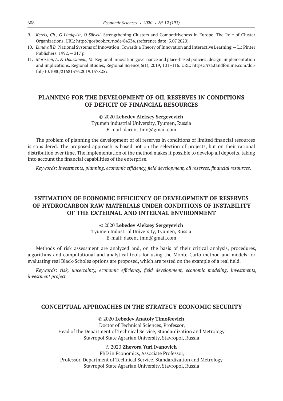- 9. *Ketels, Ch., G. Lindqvist, Ö. Sölvell*. Strengthening Clusters and Competitiveness in Europe. The Role of Cluster Organizations. URL: http://gosbook.ru/node/84334. (reference date: 3.07.2020).
- 10. *Lundvall B.* National Systems of Innovation: Towards a Theory of Innovation and Interactive Learning.— L.: Pinter Publishers. 1992.— 317 p
- 11. *Morisson, A. & Doussineau, M*. Regional innovation governance and place-based policies: design, implementation and implications. Regional Studies, Regional Science,6(1), 2019, 101–116. URL: https://rsa.tandfonline.com/doi/ full/10.1080/21681376.2019.1578257.

# **PLANNING FOR THE DEVELOPMENT OF OIL RESERVES IN CONDITIONS OF DEFICIT OF FINANCIAL RESOURCES**

© 2020 **Lebedev Aleksey Sergeyevich**

Tyumen industrial University, Tyumen, Russia E-mail: dacent.tmn@gmail.com

The problem of planning the development of oil reserves in conditions of limited financial resources is considered. The proposed approach is based not on the selection of projects, but on their rational distribution over time. The implementation of the method makes it possible to develop all deposits, taking into account the financial capabilities of the enterprise.

*Keywords: Investments, planning, economic efficiency, field development, oil reserves, financial resources.*

# **ESTIMATION OF ECONOMIC EFFICIENCY OF DEVELOPMENT OF RESERVES OF HYDROCARBON RAW MATERIALS UNDER CONDITIONS OF INSTABILITY OF THE EXTERNAL AND INTERNAL ENVIRONMENT**

© 2020 **Lebedev Aleksey Sergeyevich** Tyumen Industrial University, Tyumen, Russia E-mail: dacent.tmn@gmail.com

Methods of risk assessment are analyzed and, on the basis of their critical analysis, procedures, algorithms and computational and analytical tools for using the Monte Carlo method and models for evaluating real Black-Scholes options are proposed, which are tested on the example of a real field.

*Keywords: risk, uncertainty, economic efficiency, field development, economic modeling, investments, investment project*

### **CONCEPTUAL APPROACHES IN THE STRATEGY ECONOMIC SECURITY**

© 2020 **Lebedev Anatoly Timofeevich**

Doctor of Technical Sciences, Professor, Head of the Department of Technical Service, Standardization and Metrology Stavropol State Agrarian University, Stavropol, Russia

### © 2020 **Zhevora Yuri Ivanovich**

PhD in Economics, Associate Professor, Professor, Department of Technical Service, Standardization and Metrology Stavropol State Agrarian University, Stavropol, Russia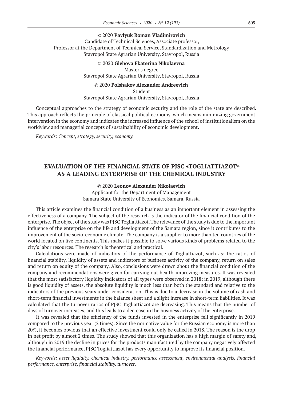#### © 2020 **Pavlyuk Roman Vladimirovich**

Candidate of Technical Sciences, Associate professor, Professor at the Department of Technical Service, Standardization and Metrology Stavropol State Agrarian University, Stavropol, Russia

> © 2020 **Glebova Ekaterina Nikolaevna** Master's degree Stavropol State Agrarian University, Stavropol, Russia

> © 2020 **Polshakov Alexander Andreevich** Student Stavropol State Agrarian University, Stavropol, Russia

Conceptual approaches to the strategy of economic security and the role of the state are described. This approach reflects the principle of classical political economy, which means minimizing government intervention in the economy and indicates the increased influence of the school of institutionalism on the worldview and managerial concepts of sustainability of economic development.

*Keywords: Concept, strategy, security, economy.*

# **EVALUATION OF THE FINANCIAL STATE OF PJSC «TOGLIATTIAZOT» AS A LEADING ENTERPRISE OF THE CHEMICAL INDUSTRY**

### © 2020 **Leonov Alexander Nikolaevich**

Applicant for the Department of Management Samara State University of Economics, Samara, Russia

This article examines the financial condition of a business as an important element in assessing the effectiveness of a company. The subject of the research is the indicator of the financial condition of the enterprise. The object of the study was PJSC Togliattiazot. The relevance of the study is due to the important influence of the enterprise on the life and development of the Samara region, since it contributes to the improvement of the socio-economic climate. The company is a supplier to more than ten countries of the world located on five continents. This makes it possible to solve various kinds of problems related to the city's labor resources. The research is theoretical and practical.

Calculations were made of indicators of the performance of Togliattiazot, such as: the ratios of financial stability, liquidity of assets and indicators of business activity of the company, return on sales and return on equity of the company. Also, conclusions were drawn about the financial condition of the company and recommendations were given for carrying out health-improving measures. It was revealed that the most satisfactory liquidity indicators of all types were observed in 2018; in 2019, although there is good liquidity of assets, the absolute liquidity is much less than both the standard and relative to the indicators of the previous years under consideration. This is due to a decrease in the volume of cash and short-term financial investments in the balance sheet and a slight increase in short-term liabilities. It was calculated that the turnover ratios of PJSC Togliattiazot are decreasing. This means that the number of days of turnover increases, and this leads to a decrease in the business activity of the enterprise.

It was revealed that the efficiency of the funds invested in the enterprise fell significantly in 2019 compared to the previous year (2 times). Since the normative value for the Russian economy is more than 20%, it becomes obvious that an effective investment could only be called in 2018. The reason is the drop in net profit by almost 2 times. The study showed that this organization has a high margin of safety and, although in 2019 the decline in prices for the products manufactured by the company negatively affected the financial performance, PJSC Togliattiazot has every opportunity to improve its financial position.

*Keywords: asset liquidity, chemical industry, performance assessment, environmental analysis, financial performance, enterprise, financial stability, turnover.*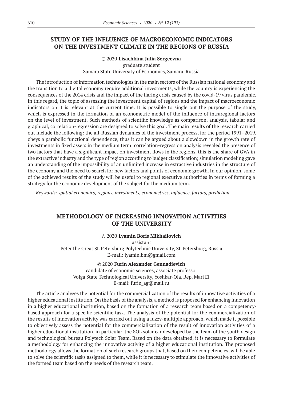# **STUDY OF THE INFLUENCE OF MACROECONOMIC INDICATORS ON THE INVESTMENT CLIMATE IN THE REGIONS OF RUSSIA**

### © 2020 **Lisachkina Julia Sergeevna** graduate student Samara State University of Economics, Samara, Russia

The introduction of information technologies in the main sectors of the Russian national economy and the transition to a digital economy require additional investments, while the country is experiencing the consequences of the 2014 crisis and the impact of the flaring crisis caused by the covid‑19 virus pandemic. In this regard, the topic of assessing the investment capital of regions and the impact of macroeconomic indicators on it is relevant at the current time. It is possible to single out the purpose of the study, which is expressed in the formation of an econometric model of the influence of intraregional factors on the level of investment. Such methods of scientific knowledge as comparison, analysis, tabular and graphical, correlation-regression are designed to solve this goal. The main results of the research carried out include the following: the all-Russian dynamics of the investment process, for the period 1991–2019, obeys a parabolic functional dependence, thus it can be argued about a slowdown in the growth rate of investments in fixed assets in the medium term; correlation-regression analysis revealed the presence of two factors that have a significant impact on investment flows in the regions, this is the share of GVA in the extractive industry and the type of region according to budget classification; simulation modeling gave an understanding of the impossibility of an unlimited increase in extractive industries in the structure of the economy and the need to search for new factors and points of economic growth. In our opinion, some of the achieved results of the study will be useful to regional executive authorities in terms of forming a strategy for the economic development of the subject for the medium term.

*Keywords: spatial economics, regions, investments, econometrics, influence, factors, prediction.*

### **METHODOLOGY OF INCREASING INNOVATION ACTIVITIES OF THE UNIVERSITY**

#### © 2020 **Lyamin Boris Mikhailovich**

assistant

Peter the Great St. Petersburg Polytechnic University, St. Petersburg, Russia E-mail: lyamin.bm@gmail.com

© 2020 **Furin Alexander Gennadievich** candidate of economic sciences, associate professor Volga State Technological University, Yoshkar-Ola, Rep. Mari El

E-mail: furin\_ag@mail.ru

The article analyzes the potential for the commercialization of the results of innovative activities of a higher educational institution. On the basis of the analysis, a method is proposed for enhancing innovation in a higher educational institution, based on the formation of a research team based on a competencybased approach for a specific scientific task. The analysis of the potential for the commercialization of the results of innovation activity was carried out using a fuzzy-multiple approach, which made it possible to objectively assess the potential for the commercialization of the result of innovation activities of a higher educational institution, in particular, the SOL solar car developed by the team of the youth design and technological bureau Polytech Solar Team. Based on the data obtained, it is necessary to formulate a methodology for enhancing the innovative activity of a higher educational institution. The proposed methodology allows the formation of such research groups that, based on their competencies, will be able to solve the scientific tasks assigned to them, while it is necessary to stimulate the innovative activities of the formed team based on the needs of the research team.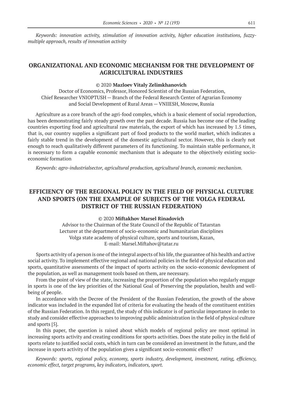*Keywords: innovation activity, stimulation of innovation activity, higher education institutions, fuzzymultiple approach, results of innovation activity*

# **ORGANIZATIONAL AND ECONOMIC MECHANISM FOR THE DEVELOPMENT OF AGRICULTURAL INDUSTRIES**

### © 2020 **Mazloev Vitaly Zelimkhanovich**

Doctor of Economics, Professor, Honored Scientist of the Russian Federation, Chief Researcher VNIOPTUSH — Branch of the Federal Research Center of Agrarian Economy and Social Development of Rural Areas — VNIIESH, Moscow, Russia

Agriculture as a core branch of the agri-food complex, which is a basic element of social reproduction, has been demonstrating fairly steady growth over the past decade. Russia has become one of the leading countries exporting food and agricultural raw materials, the export of which has increased by 1.5 times, that is, our country supplies a significant part of food products to the world market, which indicates a fairly stable trend in the development of the domestic agricultural sector. However, this is clearly not enough to reach qualitatively different parameters of its functioning. To maintain stable performance, it is necessary to form a capable economic mechanism that is adequate to the objectively existing socioeconomic formation

*Keywords: agro-industrialsector, agricultural production, agricultural branch, economic mechanism.*

# **EFFICIENCY OF THE REGIONAL POLICY IN THE FIELD OF PHYSICAL CULTURE AND SPORTS (ON THE EXAMPLE OF SUBJECTS OF THE VOLGA FEDERAL DISTRICT OF THE RUSSIAN FEDERATION)**

#### © 2020 **Miftakhov Marsel Rinadovich**

Advisor to the Chairman of the State Council of the Republic of Tatarstan Lecturer at the department of socio-economic and humanitarian disciplines Volga state academy of physical culture, sports and tourism, Kazan, E-mail: Marsel.Miftahov@tatar.ru

Sports activity of a person is one of the integral aspects of his life, the guarantee of his health and active social activity. To implement effective regional and national policies in the field of physical education and sports, quantitative assessments of the impact of sports activity on the socio-economic development of the population, as well as management tools based on them, are necessary.

From the point of view of the state, increasing the proportion of the population who regularly engage in sports is one of the key priorities of the National Goal of Preserving the population, health and wellbeing of people.

In accordance with the Decree of the President of the Russian Federation, the growth of the above indicator was included in the expanded list of criteria for evaluating the heads of the constituent entities of the Russian Federation. In this regard, the study of this indicator is of particular importance in order to study and consider effective approaches to improving public administration in the field of physical culture and sports [5].

In this paper, the question is raised about which models of regional policy are most optimal in increasing sports activity and creating conditions for sports activities. Does the state policy in the field of sports relate to justified social costs, which in turn can be considered an investment in the future, and the increase in sports activity of the population gives a significant socio-economic effect?

*Keywords: sports, regional policy, economy, sports industry, development, investment, rating, efficiency, economic effect, target programs, key indicators, indicators, sport.*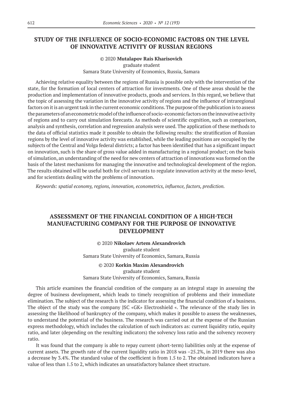# **STUDY OF THE INFLUENCE OF SOCIO-ECONOMIC FACTORS ON THE LEVEL OF INNOVATIVE ACTIVITY OF RUSSIAN REGIONS**

### © 2020 **Mutalapov Rais Kharisovich** graduate student Samara State University of Economics, Russia, Samara

Achieving relative equality between the regions of Russia is possible only with the intervention of the state, for the formation of local centers of attraction for investments. One of these areas should be the production and implementation of innovative products, goods and services. In this regard, we believe that the topic of assessing the variation in the innovative activity of regions and the influence of intraregional factors on it is an urgent task in the current economic conditions. The purpose of the publication is to assess the parameters of an econometric model of the influence of socio-economic factors on the innovative activity of regions and to carry out simulation forecasts. As methods of scientific cognition, such as comparison, analysis and synthesis, correlation and regression analysis were used. The application of these methods to the data of official statistics made it possible to obtain the following results: the stratification of Russian regions by the level of innovative activity was established, while the leading positions are occupied by the subjects of the Central and Volga federal districts; a factor has been identified that has a significant impact on innovation, such is the share of gross value added in manufacturing in a regional product; on the basis of simulation, an understanding of the need for new centers of attraction of innovations was formed on the basis of the latest mechanisms for managing the innovative and technological development of the region. The results obtained will be useful both for civil servants to regulate innovation activity at the meso-level, and for scientists dealing with the problems of innovation.

*Keywords: spatial economy, regions, innovation, econometrics, influence, factors, prediction.*

# **ASSESSMENT OF THE FINANCIAL CONDITION OF A HIGH-TECH MANUFACTURING COMPANY FOR THE PURPOSE OF INNOVATIVE DEVELOPMENT**

© 2020 **Nikolaev Artem Alexandrovich** graduate student Samara State University of Economics, Samara, Russia

## © 2020 **Korkin Maxim Alexandrovich**

graduate student

Samara State University of Economics, Samara, Russia

This article examines the financial condition of the company as an integral stage in assessing the degree of business development, which leads to timely recognition of problems and their immediate elimination. The subject of the research is the indicator for assessing the financial condition of a business. The object of the study was the company JSC «GK» Electroshield «. The relevance of the study lies in assessing the likelihood of bankruptcy of the company, which makes it possible to assess the weaknesses, to understand the potential of the business. The research was carried out at the expense of the Russian express methodology, which includes the calculation of such indicators as: current liquidity ratio, equity ratio, and later (depending on the resulting indicators) the solvency loss ratio and the solvency recovery ratio.

It was found that the company is able to repay current (short-term) liabilities only at the expense of current assets. The growth rate of the current liquidity ratio in 2018 was –25.2%, in 2019 there was also a decrease by 3.4%. The standard value of the coefficient is from 1.5 to 2. The obtained indicators have a value of less than 1.5 to 2, which indicates an unsatisfactory balance sheet structure.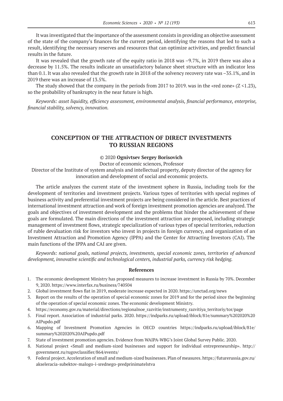It was investigated that the importance of the assessment consists in providing an objective assessment of the state of the company's finances for the current period, identifying the reasons that led to such a result, identifying the necessary reserves and resources that can optimize activities, and predict financial results in the future.

It was revealed that the growth rate of the equity ratio in 2018 was –9.7%, in 2019 there was also a decrease by 11.5%. The results indicate an unsatisfactory balance sheet structure with an indicator less than 0.1. It was also revealed that the growth rate in 2018 of the solvency recovery rate was –35.1%, and in 2019 there was an increase of 13.5%.

The study showed that the company in the periods from 2017 to 2019. was in the «red zone»  $(Z \le 1.23)$ , so the probability of bankruptcy in the near future is high.

*Keywords: asset liquidity, efficiency assessment, environmental analysis, financial performance, enterprise, financial stability, solvency, innovation.*

### **CONCEPTION OF THE ATTRACTION OF DIRECT INVESTMENTS TO RUSSIAN REGIONS**

#### © 2020 **Ognivtsev Sergey Borisovich**

Doctor of economic sciences, Professor

Director of the Institute of system analysis and intellectual property, deputy director of the agency for innovation and development of social and economic projects.

The article analyzes the current state of the investment sphere in Russia, including tools for the development of territories and investment projects. Various types of territories with special regimes of business activity and preferential investment projects are being considered in the article. Best practices of international investment attraction and work of foreign investment promotion agencies are analyzed. The goals and objectives of investment development and the problems that hinder the achievement of these goals are formulated. The main directions of the investment attraction are proposed, including strategic management of investment flows, strategic specialization of various types of special territories, reduction of ruble devaluation risk for investors who invest in projects in foreign currency, and organization of an Investment Attraction and Promotion Agency (IPPA) and the Center for Attracting Investors (CAI). The main functions of the IPPA and CAI are given.

*Keywords: national goals, national projects, investments, special economic zones, territories of advanced development, innovative scientific and technological centers, industrial parks, currency risk hedging.*

- 1. The economic development Ministry has proposed measures to increase investment in Russia by 70%. December 9, 2020. https://www.interfax.ru/business/740504
- 2. Global investment flows flat in 2019, moderate increase expected in 2020. https://unctad.org/news
- 3. Report on the results of the operation of special economic zones for 2019 and for the period since the beginning of the operation of special economic zones. The economic development Ministry.
- 4. https://economy.gov.ru/material/directions/regionalnoe\_razvitie/instrumenty\_razvitiya\_territoriy/tor/page
- 5. Final report. Association of industrial parks. 2020. https://indparks.ru/upload/iblock/81e/summary%202020%20 AIPupdo.pdf
- 6. Mapping of Investment Promotion Agencies in OECD countries https://indparks.ru/upload/iblock/81e/ summary%202020%20AIPupdo.pdf
- 7. State of investment promotion agencies. Evidence from WAIPA-WBG's Joint Global Survey Public. 2020.
- 8. National project «Small and medium-sized businesses and support for individual entrepreneurship». http:// government.ru/rugovclassifier/864/events/
- 9. Federal project. Acceleration of small and medium-sized businesses. Plan of measures. https://futurerussia.gov.ru/ akseleracia-subektov-malogo-i-srednego-predprinimatelstva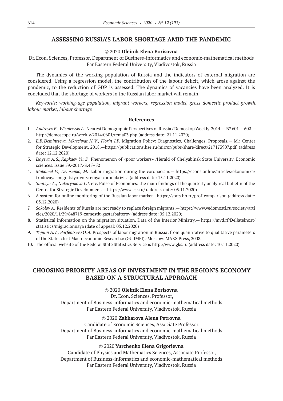### **ASSESSING RUSSIA'S LABOR SHORTAGE AMID THE PANDEMIC**

#### © 2020 **Oleinik Elena Borisovna**

Dr.Econ. Sciences, Professor, Department of Business-informatics and economic-mathematical methods Far Eastern Federal University, Vladivostok, Russia

The dynamics of the working population of Russia and the indicators of external migration are considered. Using a regression model, the contribution of the labour deficit, which arose against the pandemic, to the reduction of GDP is assessed. The dynamics of vacancies have been analyzed. It is concluded that the shortage of workers in the Russian labor market will remain.

*Keywords: working-age population, migrant workers, regression model, gross domestic product growth, labour market, labour shortage*

#### **References**

- 1. *Andreyev E., Wisniewski A.* Nearest Demographic Perspectives of Russia / Demoskop Weekly. 2014. № 601. —602. http://demoscope.ru/weekly/2014/0601/tema03.php (address date: 21.11.2020)
- 2. *E.B. Demintseva. Mkrtchyan N. V., Florin I.F.* Migration Policy: Diagnostics, Challenges, Proposals.— M.: Center for Strategic Development, 2018.—https://publications.hse.ru/mirror/pubs/share/direct/217173907.pdf. (address date: 12.12.2020)
- 3. *Isayeva A. S., Kapkaev Yu. S.* Phenomenon of «poor workers» /Herald of Chelyabinsk State University. Economic sciences. Issue 59.-2017.-S.45–52
- 4. *Mukomel V., Denisenko, M*. Labor migration during the coronacism.— https://econs.online/articles/ekonomika/ trudovaya-migratsiya-vo-vremya-koronakrizisa (address date: 15.11.2020)
- 5. *Sinitsyn A., Nakoryakova L.I.* etc. Pulse of Economics: the main findings of the quarterly analytical bulletin of the Center for Strategic Development.— https://www.csr.ru/ (address date: 05.11.2020)
- 6. A system for online monitoring of the Russian labor market. -https://stats.hh.ru/prof-comparison (address date: 03.12.2020)
- 7. *Sokolov A.* Residents of Russia are not ready to replace foreign migrants.— https://www.vedomosti.ru/society/arti cles/2020/11/29/848719‑zamestit-gastarbaiterov (address date: 05.12.2020)
- 8. Statistical information on the migration situation. Data of the Interior Ministry.— https://mvd.rf/Deljatelnost/ statistics/migracionnaya (date of appeal: 05.12.2020)
- 9. *Topilin A.V., Parfentseva O.A.* Prospects of labor migration in Russia: from quantitative to qualitative parameters of the State. «In-t Macroeconomic Research.» (GU IMEI).-Moscow: MAKS Press, 2008.
- 10. The official website of the Federal State Statistics Service is http://www.gks.ru (address date: 10.11.2020)

# **CHOOSING PRIORITY AREAS OF INVESTMENT IN THE REGION'S ECONOMY BASED ON A STRUCTURAL APPROACH**

#### © 2020 **Oleinik Elena Borisovna**

Dr. Econ. Sciences, Professor, Department of Business-informatics and economic-mathematical methods Far Eastern Federal University, Vladivostok, Russia

#### © 2020 **Zakharova Alena Petrovna**

Candidate of Economic Sciences, Associate Professor, Department of Business-informatics and economic-mathematical methods Far Eastern Federal University, Vladivostok, Russia

#### © 2020 **Yurchenko Elena Grigorievna**

Candidate of Physics and Mathematics Sciences, Associate Professor, Department of Business-informatics and economic-mathematical methods Far Eastern Federal University, Vladivostok, Russia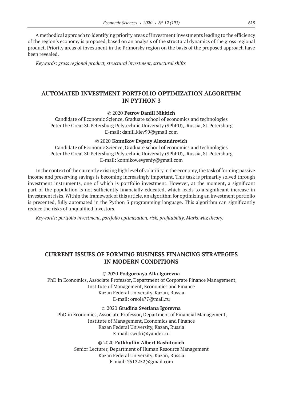A methodical approach to identifying priority areas of investment investments leading to the efficiency of the region's economy is proposed, based on an analysis of the structural dynamics of the gross regional product. Priority areas of investment in the Primorsky region on the basis of the proposed approach have been revealed.

*Keywords: gross regional product, structural investment, structural shifts*

# **AUTOMATED INVESTMENT PORTFOLIO OPTIMIZATION ALGORITHM IN PYTHON 3**

### © 2020 **Petrov Daniil Nikitich**

Candidate of Economic Science, Graduate school of economics and technologies Peter the Great St. Petersburg Polytechnic University (SPbPU),, Russia, St. Petersburg E-mail: daniil.klev99@gmail.com

#### © 2020 **Konnikov Evgeny Alexandrovich**

Candidate of Economic Science, Graduate school of economics and technologies Peter the Great St. Petersburg Polytechnic University (SPbPU),, Russia, St. Petersburg E-mail: konnikov.evgeniy@gmail.com

In the context of the currently existing high level of volatility in the economy, the task of forming passive income and preserving savings is becoming increasingly important. This task is primarily solved through investment instruments, one of which is portfolio investment. However, at the moment, a significant part of the population is not sufficiently financially educated, which leads to a significant increase in investment risks. Within the framework of this article, an algorithm for optimizing an investment portfolio is presented, fully automated in the Python 3 programming language. This algorithm can significantly reduce the risks of unqualified investors.

*Keywords: portfolio investment, portfolio optimization, risk, profitability, Markowitz theory.*

### **CURRENT ISSUES OF FORMING BUSINESS FINANCING STRATEGIES IN MODERN CONDITIONS**

© 2020 **Podgornaya Alla Igorevna**

PhD in Economics, Associate Professor, Department of Corporate Finance Management, Institute of Management, Economics and Finance Kazan Federal University, Kazan, Russia E-mail: oreola77@mail.ru

© 2020 **Grudina Svetlana Igorevna** PhD in Economics, Associate Professor, Department of Financial Management, Institute of Management, Economics and Finance Kazan Federal University, Kazan, Russia E-mail: switki@yandex.ru

© 2020 **Fatkhullin Albert Rashitovich** Senior Lecturer, Department of Human Resource Management Kazan Federal University, Kazan, Russia E-mail: 2512252@gmail.com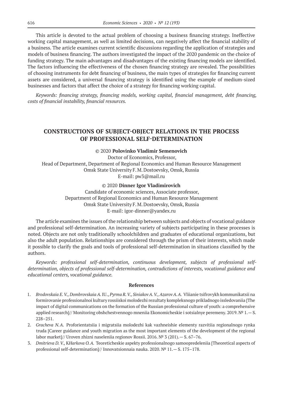This article is devoted to the actual problem of choosing a business financing strategy. Ineffective working capital management, as well as limited decisions, can negatively affect the financial stability of a business. The article examines current scientific discussions regarding the application of strategies and models of business financing. The authors investigated the impact of the 2020 pandemic on the choice of funding strategy. The main advantages and disadvantages of the existing financing models are identified. The factors influencing the effectiveness of the chosen financing strategy are revealed. The possibilities of choosing instruments for debt financing of business, the main types of strategies for financing current assets are considered, a universal financing strategy is identified using the example of medium-sized businesses and factors that affect the choice of a strategy for financing working capital.

*Keywords: financing strategy, financing models, working capital, financial management, debt financing, costs of financial instability, financial resources.*

### **CONSTRUCTIONS OF SUBJECT-OBJECT RELATIONS IN THE PROCESS OF PROFESSIONAL SELF-DETERMINATION**

#### © 2020 **Polovinko Vladimir Semenovich**

Doctor of Economics, Professor, Head of Department, Department of Regional Economics and Human Resource Management Omsk State University F.M.Dostoevsky, Omsk, Russia E-mail: pw3@mail.ru

#### © 2020 **Dinner Igor Vladimirovich**

Candidate of economic sciences, Associate professor, Department of Regional Economics and Human Resource Management Omsk State University F.M.Dostoevsky, Omsk, Russia E-mail: igor-dinner@yandex.ru

The article examines the issues of the relationship between subjects and objects of vocational guidance and professional self-determination. An increasing variety of subjects participating in these processes is noted. Objects are not only traditionally schoolchildren and graduates of educational organizations, but also the adult population. Relationships are considered through the prism of their interests, which made it possible to clarify the goals and tools of professional self-determination in situations classified by the authors.

*Keywords: professional self-determination, continuous development, subjects of professional selfdetermination, objects of professional self-determination, contradictions of interests, vocational guidance and educational centers, vocational guidance.*

- 1. *Brodovskaia E.V., Dombrovskaia A.*IU., *Pyrma R.V., SiniakovA.V., AzarovA.A.* Vliianie tsifrovykh kommunikatsii na formirovanie professionalnoi kultury rossiiskoi molodezhi rezultaty kompleksnogo prikladnogo issledovaniia [The impact of digital communications on the formation of the Russian professional culture of youth: a comprehensive applied research]// Monitoring obshchestvennogo mneniia Ekonomicheskie i sotsialnye peremeny. 2019. № 1.— S. 228–251.
- 2. *Gracheva N. A.* Proforientatsiia i migratsiia molodezhi kak vazhneishie elementy razvitiia regionalnogo rynka truda [Career guidance and youth migration as the most important elements of the development of the regional labor market]// Uroven zhizni naseleniia regionov Rossii. 2016. № 3 (201).— S. 67–76.
- 3. *Dmitrieva D. V.,* K*Harkova O.A.* Teoreticheskie aspekty professionalnogo samoopredeleniia [Theoretical aspects of professional self-determination]// Innovatsionnaia nauka. 2020. № 11.— S. 175–178.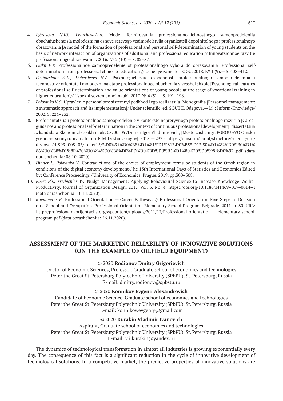- 4. *Izbrasova N.IU., Letucheva L.A.* Model formirovaniia professionalno-lichnostnogo samoopredeleniia obuchaiushcheisia molodezhi na osnove setevogo vzaimodeistviia organizatsii dopolnitelnogo i professionalnogo obrazovaniia [A model of the formation of professional and personal self-determination of young students on the basis of network interaction of organizations of additional and professional education]// Innovatsionnoe razvitie professionalnogo obrazovaniia. 2016. № 2 (10).— S. 82–87.
- 5. *Liakh P.P.* Professionalnoe samoopredelenie ot professionalnogo vybora do obrazovaniia [Professional selfdetermination: from professional choice to education]// Uchenye zametki TOGU. 2018. № 1 (9).— S. 408–412.
- 6. *Pozharskaia E. L., Deberdeeva N.A.* Psikhologicheskie osobennosti professionalnogo samoopredeleniia i tsennostnye orientatsii molodezhi na etape professionalnogo obucheniia v vysshei shkole [Psychological features of professional self-determination and value orientations of young people at the stage of vocational training in higher education]// Uspekhi sovremennoi nauki. 2017. № 4 (5).— S. 191–198.
- 7. Polovinko V. S. Upravlenie personalom: sistemnyi podkhod i ego realizatsiia: Monografiia [Personnel management: a systematic approach and its implementation]/ Under scientific. ed. SOUTH. Odegova.— M .: Inform-Knowledge/ 2002. S. 224–232.
- 8. Proforientatsiia i professionalnoe samoopredelenie v kontekste nepreryvnogo professionalnogo razvitiia [Career guidance and professional self-determination in the context of continuous professional development]: dissertatsiia … kandidata Ekonomicheskikh nauk: 08. 00. 05 /Dinner Igor Vladimirovich; [Mesto zashchity: FGBOU «VO Omskii gosudarstvennyi universitet im. F.M.Dostoevskogo»], 2018.— 233 s. https://omsu.ru/about/structure/science/ont/ dissovet/d‑999–008–03/folder15/%D0%94%D0%B8%D1%81%D1%81%D0%B5%D1%80%D1%82%D0%B0%D1% 86%D0%B8%D1%8F%20%D0%94%D0%B8%D0%BD%D0%BD%D0%B5%D1%80%20%D0%98.%D0%92..pdf (data obrashcheniia: 08.10. 2020).
- 9. *Dinner I., Polovinko V.* Contradictions of the choice of employment forms by students of the Omsk region in conditions of the digital economy development// he 13th International Days of Statistics and Economics Edited by: Conference Proceedings / University of Economics, Prague. 2019. pp.300–308.
- 10. *Ebert Ph., Freibichler W.* Nudge Management: Applying Behavioural Science to Increase Knowledge Worker Productivity. Journal of Organization Design. 2017. Vol. 6. No. 4. https://doi.org/10.1186/s41469–017–0014–1 (data obrashcheniia: 10.11.2020).
- 11. *Kaemmerer E.* Professional Orientation Career Pathways // Professional Orientation Five Steps to Decision on a School and Occupation. Professional Orientation Elementary School Program. Belgrade, 2011. p. 80. URL: http://profesionalnaorijentacija.org/wpcontent/uploads/2011/12/Professional orientation elementary school program.pdf (data obrashcheniia: 26.11.2020).

# **ASSESSMENT OF THE MARKETING RELIABILITY OF INNOVATIVE SOLUTIONS (ON THE EXAMPLE OF OILFIELD EQUIPMENT)**

### © 2020 **Rodionov Dmitry Grigorievich**

Doctor of Economic Sciences, Professor, Graduate school of economics and technologies Peter the Great St. Petersburg Polytechnic University (SPbPU), St. Petersburg, Russia E-mail: dmitry.rodionov@spbstu.ru

#### © 2020 **Konnikov Evgenii Alexandrovich**

Candidate of Economic Science, Graduate school of economics and technologies Peter the Great St. Petersburg Polytechnic University (SPbPU), St. Petersburg, Russia E-mail: konnikov.evgeniy@gmail.com

#### © 2020 **Kurakin Vladimir Ivanovich**

Aspirant, Graduate school of economics and technologies Peter the Great St. Petersburg Polytechnic University (SPbPU), St. Petersburg, Russia E-mail: v.i.kurakin@yandex.ru

The dynamics of technological transformation in almost all industries is growing exponentially every day. The consequence of this fact is a significant reduction in the cycle of innovative development of technological solutions. In a competitive market, the predictive properties of innovative solutions are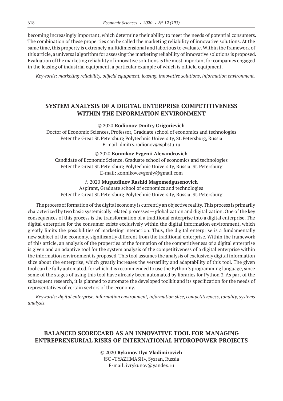becoming increasingly important, which determine their ability to meet the needs of potential consumers. The combination of these properties can be called the marketing reliability of innovative solutions. At the same time, this property is extremely multidimensional and laborious to evaluate. Within the framework of this article, a universal algorithm for assessing the marketing reliability of innovative solutions is proposed. Evaluation of the marketing reliability of innovative solutions is the most important for companies engaged in the leasing of industrial equipment, a particular example of which is oilfield equipment.

*Keywords: marketing reliability, oilfield equipment, leasing, innovative solutions, information environment.*

# **SYSTEM ANALYSIS OF A DIGITAL ENTERPRISE COMPETITIVENESS WITHIN THE INFORMATION ENVIRONMENT**

#### © 2020 **Rodionov Dmitry Grigorievich**

Doctor of Economic Sciences, Professor, Graduate school of economics and technologies Peter the Great St. Petersburg Polytechnic University, St. Petersburg, Russia E-mail: dmitry.rodionov@spbstu.ru

#### © 2020 **Konnikov Evgenii Alexandrovich**

Candidate of Economic Science, Graduate school of economics and technologies Peter the Great St. Petersburg Polytechnic University, Russia, St. Petersburg E-mail: konnikov.evgeniy@gmail.com

### © 2020 **Mugutdinov Rashid Magomedgusenovich**

Aspirant, Graduate school of economics and technologies Peter the Great St. Petersburg Polytechnic University, Russia, St. Petersburg

The process of formation of the digital economy is currently an objective reality. This process is primarily characterized by two basic systemically related processes—globalization and digitalization. One of the key consequences of this process is the transformation of a traditional enterprise into a digital enterprise. The digital enterprise for the consumer exists exclusively within the digital information environment, which greatly limits the possibilities of marketing interaction. Thus, the digital enterprise is a fundamentally new subject of the economy, significantly different from the traditional enterprise. Within the framework of this article, an analysis of the properties of the formation of the competitiveness of a digital enterprise is given and an adaptive tool for the system analysis of the competitiveness of a digital enterprise within the information environment is proposed. This tool assumes the analysis of exclusively digital information slice about the enterprise, which greatly increases the versatility and adaptability of this tool. The given tool can be fully automated, for which it is recommended to use the Python 3 programming language, since some of the stages of using this tool have already been automated by libraries for Python 3. As part of the subsequent research, it is planned to automate the developed toolkit and its specification for the needs of representatives of certain sectors of the economy.

*Keywords: digital enterprise, information environment, information slice, competitiveness, tonality, systems analysis.*

### **BALANCED SCORECARD AS AN INNOVATIVE TOOL FOR MANAGING ENTREPRENEURIAL RISKS OF INTERNATIONAL HYDROPOWER PROJECTS**

© 2020 **Rykunov Ilya Vladimirovich** JSC «TYAZHMASH», Syzran, Russia E-mail: ivrykunov@yandex.ru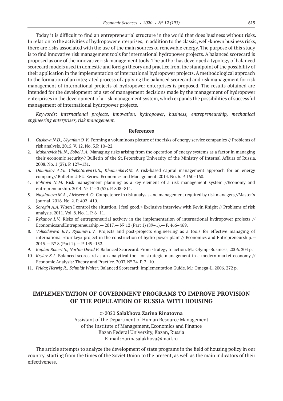Today it is difficult to find an entrepreneurial structure in the world that does business without risks. In relation to the activities of hydropower enterprises, in addition to the classic, well-known business risks, there are risks associated with the use of the main sources of renewable energy. The purpose of this study is to find innovative risk management tools for international hydropower projects. A balanced scorecard is proposed as one of the innovative risk management tools. The author has developed a typology of balanced scorecard models used in domestic and foreign theory and practice from the standpoint of the possibility of their application in the implementation of international hydropower projects. A methodological approach to the formation of an integrated process of applying the balanced scorecard and risk management for risk management of international projects of hydropower enterprises is proposed. The results obtained are intended for the development of a set of management decisions made by the management of hydropower enterprises in the development of a risk management system, which expands the possibilities of successful management of international hydropower projects.

*Keywords: international projects, innovation, hydropower, business, entrepreneurship, mechanical engineering enterprises, risk management.*

#### **References**

- 1. *Guskova N.D., Ulyankin O. V.* Forming a voluminous picture of the risks of energy service companies // Problems of risk analysis. 2015. V. 12. No. 3.P. 10–22.
- 2. *MakarevichYu.N., Sobol I.A.* Managing risks arising from the operation of energy systems as a factor in managing their economic security// Bulletin of the St.Petersburg University of the Ministry of Internal Affairs of Russia. 2008. No. 1 (37). P. 127–131.
- 3. *Domnikov A.Yu. Chebotareva G. S., Khomenko P. M.* A risk-based capital management approach for an energy company// Bulletin UrFU. Series: Economics and Management. 2014. No. 6. P. 150–160.
- 4. *Bobrova N.M.* Risk management planning as a key element of a risk management system //Economy and entrepreneurship. 2014. № 11–3 (52). P. 808–811.
- 5. *Naydanova M.A., AlekseevA.O.* Competence in risk analysis and management required by risk managers //Master's Journal. 2016. No. 2. P. 402–410.
- 6. *Sorogin A.A.* When I control the situation, I feel good.» Exclusive interview with Kevin Knight // Problems of risk analysis. 2011. Vol. 8. No. 1. P. 6–11.
- 7. *Rykunov I.V.* Risks of entrepreneurial activity in the implementation of international hydropower projects // EconomicsandEntrepreneurship. — 2017. —  $N^{\circ}$  12 (Part 1) (89–1). — P. 466–469.
- 8. *Volkodavova E.V.*, *Rykunov I.V.* Projects and post-projects engineering as a tools for effective managing of international «turnkey» project in the construction of hydro power plant // Economics and Entrepreneurship.— 2015.—№ 8 (Part 2).— P. 149–152.
- 9. *Kaplan Robert S., Norton David P.* Balanced Scorecard. From strategy to action. M.: Olymp-Business, 2006. 304 p.
- 10. *Krylov S.I.* Balanced scorecard as an analytical tool for strategic management in a modern market economy // Economic Analysis: Theory and Practice. 2007. № 24. P. 2–10.
- 11. *Fridag Herwig R., Schmidt Walter.* Balanced Scorecard: Implementation Guide. M.: Omega-L, 2006. 272 p.

# **IMPLEMENTATION OF GOVERNMENT PROGRAMS TO IMPROVE PROVISION OF THE POPULATION OF RUSSIA WITH HOUSING**

### © 2020 **Salakhova Zarina Rinatovna**

Assistant of the Department of Human Resource Management of the Institute of Management, Economics and Finance Kazan Federal University, Kazan, Russia E-mail: zarinasalakhova@mail.ru

The article attempts to analyze the development of state programs in the field of housing policy in our country, starting from the times of the Soviet Union to the present, as well as the main indicators of their effectiveness.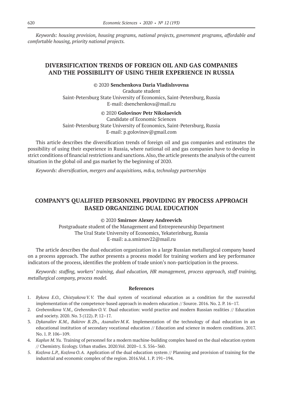*Keywords: housing provision, housing programs, national projects, government programs, affordable and comfortable housing, priority national projects.*

# **DIVERSIFICATION TRENDS OF FOREIGN OIL AND GAS COMPANIES AND THE POSSIBILITY OF USING THEIR EXPERIENCE IN RUSSIA**

© 2020 **Senchenkova Daria Vladislsvovna**

Graduate student Saint-Petersburg State University of Economics, Saint-Petersburg, Russia E-mail: dsenchenkova@mail.ru

© 2020 **Golovinov Petr Nikolaevich**

Candidate of Economic Sciences Saint-Petersburg State University of Economics, Saint-Petersburg, Russia E-mail: p.golovinov@gmail.com

This article describes the diversification trends of foreign oil and gas companies and estimates the possibility of using their experience in Russia, where national oil and gas companies have to develop in strict conditions of financial restrictions and sanctions. Also, the article presents the analysis of the current situation in the global oil and gas market by the beginning of 2020.

*Keywords: diversification, mergers and acquisitions, m&a, technology partnerships*

# **COMPANY'S QUALIFIED PERSONNEL PROVIDING BY PROCESS APPROACH BASED ORGANIZING DUAL EDUCATION**

#### © 2020 **Smirnov Alexey Andreevich**

Postgraduate student of the Management and Entrepreneurship Department The Ural State University of Economics, Yekaterinburg, Russia E-mail: a.a.smirnov22@mail.ru

The article describes the dual education organization in a large Russian metallurgical company based on a process approach. The author presents a process model for training workers and key performance indicators of the process, identifies the problem of trade union's non-participation in the process.

*Keywords: staffing, workers' training, dual education, HR management, process approach, staff training, metallurgical company, process model.*

- 1. *Bykova E.O., Chistyakova V.V.* The dual system of vocational education as a condition for the successful implementation of the competence-based approach in modern education // Source. 2016. No. 2. P. 16–17.
- 2. *Grebennikova V.M., Grebennikov O.V.* Dual education: world practice and modern Russian realities // Education and society. 2020. No. 3 (122). P. 12–17.
- 3. *Dykanaliev K.M., Bakirov B.Zh., Asanaliev M.K.* Implementation of the technology of dual education in an educational institution of secondary vocational education // Education and science in modern conditions. 2017. No. 1. P. 106–109.
- 4. *Kaplun M. Yu.* Training of personnel for a modern machine-building complex based on the dual education system // Chemistry. Ecology. Urban studies. 2020.Vol. 2020–1. S. 356–360.
- 5. *Kozlova L.P., Kozlova O.A.* Application of the dual education system // Planning and provision of training for the industrial and economic complex of the region. 2016.Vol. 1. P. 191–194.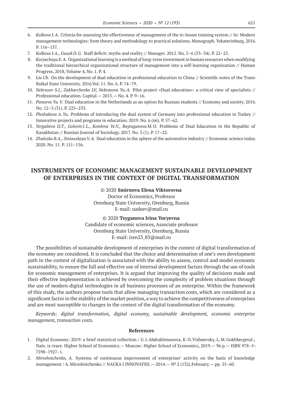- 6. *Kulkova I.A.* Criteria for assessing the effectiveness of management of the in-house training system // In: Modern management technologies: from theory and methodology to practical solutions. Monograph. Yekaterinburg, 2016. P. 116–137.
- 7. *Kulkova I.A., Gusak D. G.* Staff deficit: myths and reality // Manager. 2012. No. 5–6 (33–34). P. 22–25.
- 8. *Kuryachaya E. A.*Organizational learning is a method of long-term investment in human resources when modifying the traditional hierarchical organizational structure of management into a self-learning organization // Human Progress, 2018, Volume 4, No. 1. P. 4.
- 9. *Liu Ch.* On the development of dual education in professional education in China // Scientific notes of the Trans-Baikal State University. 2016.Vol. 11. No. 6. P. 74–79.
- 10. *Nekrasov S.I., Zakharchenko LV, Nekrasova Yu. A.* Pilot project «Dual education»: a critical view of specialists // Professional education. Capital.— 2015.— No. 4. P. 9–16.
- 11. *Panueva Yu. V.* Dual education in the Netherlands as an option for Russian students // Economy and society. 2016. No. 12–3 (31). P. 225–233.
- 12. *Pleshakova A. Yu.* Problems of introducing the dual system of Germany into professional education in Turkey // Innovative projects and programs in education. 2019. No. 6 (66). P. 57–62.
- 13. *Yergalieva D.T., Golovin I. L., Komleva Ye.V., Baytuganova M. O.* Problems of Dual Education in the Republic of Kazakhstan // Russian Journal of Sociology. 2017. No. 3 (1). P. 17–22.
- 14. *Zhalezka B.A., SiniauskayaV.A.* Dual education in the sphere of the automotive industry // Economic science today. 2020. No. 11. P. 151–156.

# **INSTRUMENTS OF ECONOMIC MANAGEMENT SUSTAINABLE DEVELOPMENT OF ENTERPRISES IN THE CONTEXT OF DIGITAL TRANSFORMATION**

© 2020 **Smirnova Elena Viktorovna** Doctor of Economics, Professor Orenburg State University, Orenburg, Russia E-mail: uadsev@mail.ru

© 2020 **Tsyganova Irina Yuryevna** Candidate of economic sciences, Associate professor Orenburg State University, Orenburg, Russia E-mail: iren23\_83@mail.ru

The possibilities of sustainable development of enterprises in the context of digital transformation of the economy are considered. It is concluded that the choice and determination of one's own development path in the context of digitalization is associated with the ability to assess, control and model economic sustainability, to ensure the full and effective use of internal development factors through the use of tools for economic management of enterprises. It is argued that improving the quality of decisions made and their effective implementation is achieved by overcoming the complexity of problem situations through the use of modern digital technologies in all business processes of an enterprise. Within the framework of this study, the authors propose tools that allow managing transaction costs, which are considered as a significant factor in the stability of the market position, a way to achieve the competitiveness of enterprises and are most susceptible to changes in the context of the digital transformation of the economy.

*Keywords: digital transformation, digital economy, sustainable development, economic enterprise management, transaction costs.*

- 1. Digital Economy: 2019: a brief statistical collection / G.I.Abdrakhmanova, K.O.Vishnevsky, L.M.Gokhbergetal.; Nats. is-trace. Higher School of Economics.— Moscow: Higher School of Economics, 2019.— 96 p.— ISBN 978–5– 7598–1927–1.
- 2. *Miroshnichenko, A.* Systems of continuous improvement of enterprises' activity on the basis of knowledge management / A.Miroshnichenko // NAUKA I INNOVATSII.— 2014.—№ 2 (132).February.— pp. 55–60.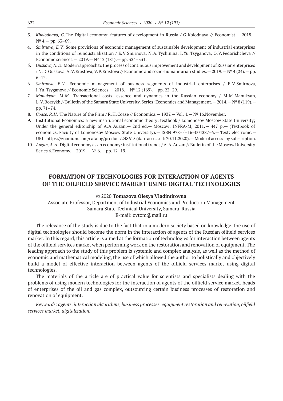- 3. *Kholodnaya, G*.The Digital economy: features of development in Russia / G.Kolodnaya // Economist.— 2018.—  $N^{\circ}$  4. – pp. 63–69.
- 4. *Smirnova, E. V.* Some provisions of economic management of sustainable development of industrial enterprises in the conditions of reindustrialization / E.V.Smirnova, N.A.Tychinina, I.Yu.Tsyganova, O.V.Fedorishcheva // Economic sciences.— 2019.—№ 12 (181).— pp. 324–331.
- 5. *Guskova,N. D*. Modern approach to the process of continuous improvement and development of Russian enterprises / N.D.Guskova, A.V.Erastova, V.P.Erastova // Economic and socio-humanitarian studies.— 2019.—№ 4 (24).— pp. 6–12.
- 6. *Smirnova, E. V.* Economic management of business segments of industrial enterprises / E.V.Smirnova, I.Yu.Tsyganova // Economic Sciences.— 2018.—№ 12 (169).— pp. 22–29.
- 7. *Manukyan, M.M.* Transactional costs: essence and dynamics in the Russian economy / M.M.Manukyan, L.V.Borzykh // Bulletin of the Samara State University. Series: Economics and Management.—2014.—№ 8 (119). pp. 71–74.
- 8. *Coase, R.H.* The Nature of the Firm / R.H. Coase // Economica. 1937. Vol. 4. Nº 16. November.
- 9. Institutional Economics: a new institutional economic theory: textbook / Lomonosov Moscow State University; Under the general editorship of A.A.Auzan.— 2nd ed.— Moscow: INFRA-M, 2011.— 447 p.— (Textbook of economics. Faculty of Lomonosov Moscow State University). - ISBN 978-5-16-004387-6. - Text: electronic. -URL: https://znanium.com/catalog/product/248615 (date accessed: 20.11.2020). — Mode of access: by subscription.
- 10. *Auzan, A.A*. Digital economy as an economy: institutional trends / A.A.Auzan // Bulletin of the Moscow University. Series 6.Economy.— 2019.—№ 6.— pp. 12–19.

### **FORMATION OF TECHNOLOGIES FOR INTERACTION OF AGENTS OF THE OILFIELD SERVICE MARKET USING DIGITAL TECHNOLOGIES**

#### © 2020 **Tomazova Olesya Vladimirovna**

Associate Professor, Department of Industrial Economics and Production Management Samara State Technical University, Samara, Russia E-mail: ovtom@mail.ru

The relevance of the study is due to the fact that in a modern society based on knowledge, the use of digital technologies should become the norm in the interaction of agents of the Russian oilfield services market. In this regard, this article is aimed at the formation of technologies for interaction between agents of the oilfield services market when performing work on the restoration and renovation of equipment. The leading approach to the study of this problem is systemic and complex analysis, as well as the method of economic and mathematical modeling, the use of which allowed the author to holistically and objectively build a model of effective interaction between agents of the oilfield services market using digital technologies.

The materials of the article are of practical value for scientists and specialists dealing with the problems of using modern technologies for the interaction of agents of the oilfield service market, heads of enterprises of the oil and gas complex, outsourcing certain business processes of restoration and renovation of equipment.

*Keywords: agents, interaction algorithms, business processes, equipmentrestoration and renovation, oilfield services market, digitalization.*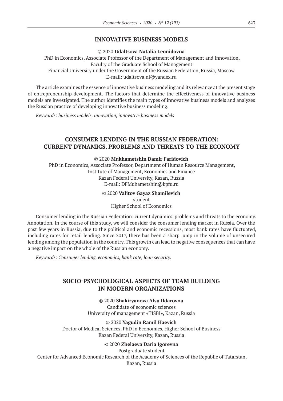### **INNOVATIVE BUSINESS MODELS**

© 2020 **Udaltsova Natalia Leonidovna**

PhD in Economics, Associate Professor of the Department of Management and Innovation, Faculty of the Graduate School of Management Financial University under the Government of the Russian Federation, Russia, Moscow E-mail: udaltsova.nl@yandex.ru

The article examines the essence of innovative business modeling and its relevance at the present stage of entrepreneurship development. The factors that determine the effectiveness of innovative business models are investigated. The author identifies the main types of innovative business models and analyzes the Russian practice of developing innovative business modeling.

*Keywords: business models, innovation, innovative business models*

# **CONSUMER LENDING IN THE RUSSIAN FEDERATION: CURRENT DYNAMICS, PROBLEMS AND THREATS TO THE ECONOMY**

#### © 2020 **Mukhametshin Damir Faridovich**

PhD in Economics, Associate Professor, Department of Human Resource Management, Institute of Management, Economics and Finance Kazan Federal University, Kazan, Russia E-mail: DFMuhametshin@kpfu.ru

### © 2020 **Valitov Gayaz Shamilevich**

student Higher School of Economics

Consumer lending in the Russian Federation: current dynamics, problems and threats to the economy. Annotation. In the course of this study, we will consider the consumer lending market in Russia. Over the past few years in Russia, due to the political and economic recessions, most bank rates have fluctuated, including rates for retail lending. Since 2017, there has been a sharp jump in the volume of unsecured lending among the population in the country. This growth can lead to negative consequences that can have a negative impact on the whole of the Russian economy.

*Keywords: Consumer lending, economics, bank rate, loan security.*

# **SOCIO-PSYCHOLOGICAL ASPECTS OF TEAM BUILDING IN MODERN ORGANIZATIONS**

#### © 2020 **Shakiryanova Alsu Ildarovna**

Candidate of economic sciences University of management «TISBI», Kazan, Russia

### © 2020 **Yagudin Ramil Haevich**

Doctor of Medical Sciences, PhD in Economics, Higher School of Business Kazan Federal University, Kazan, Russia

#### © 2020 **Zhelaeva Daria Igorevna**

Postgraduate student Center for Advanced Economic Research of the Academy of Sciences of the Republic of Tatarstan, Kazan, Russia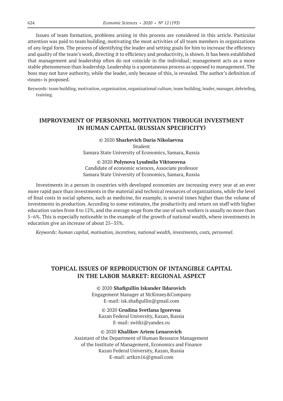Issues of team formation, problems arising in this process are considered in this article. Particular attention was paid to team building, motivating the most activities of all team members in organizations of any legal form. The process of identifying the leader and setting goals for him to increase the efficiency and quality of the team's work, directing it to efficiency and productivity, is shown. It has been established that management and leadership often do not coincide in the individual; management acts as a more stable phenomenon than leadership. Leadership is a spontaneous process as opposed to management. The boss may not have authority, while the leader, only because of this, is revealed. The author's definition of «team» is proposed.

Keywords: team building, motivation, organization, organizational culture, team building, leader, manager, debriefing, training.

# **IMPROVEMENT OF PERSONNEL MOTIVATION THROUGH INVESTMENT IN HUMAN CAPITAL (RUSSIAN SPECIFICITY)**

© 2020 **Sharkevich Daria Nikolaevna** Student Samara State University of Economics, Samara, Russia

© 2020 **Polynova Lyudmila Viktorovna** Candidate of economic sciences, Associate professor Samara State University of Economics, Samara, Russia

Investments in a person in countries with developed economies are increasing every year at an ever more rapid pace than investments in the material and technical resources of organizations, while the level of final costs in social spheres, such as medicine, for example, is several times higher than the volume of investments in production. According to some estimates, the productivity and return on staff with higher education varies from 8 to 12%, and the average wage from the use of such workers is usually no more than 5–6%. This is especially noticeable in the example of the growth of national wealth, where investments in education give an increase of about 25–35%.

*Keywords: human capital, motivation, incentives, national wealth, investments, costs, personnel.*

# **TOPICAL ISSUES OF REPRODUCTION OF INTANGIBLE CAPITAL IN THE LABOR MARKET: REGIONAL ASPECT**

© 2020 **Shafigullin Iskander Ildarovich** Engagement Manager at МcKinsey&Company E-mail: isk.shafigullin@gmail.com

© 2020 **Grudina Svetlana Igorevna** Kazan Federal University, Kazan, Russia E-mail: switki@yandex.ru

© 2020 **Khalikov Artem Lenarovich** Assistant of the Department of Human Resource Management of the Institute of Management, Economics and Finance Kazan Federal University, Kazan, Russia E-mail: artkzn16@gmail.com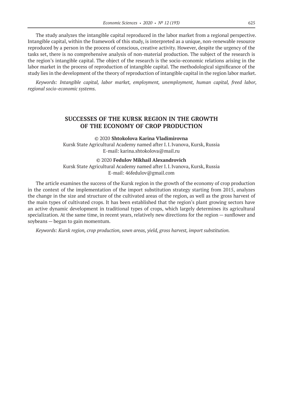The study analyzes the intangible capital reproduced in the labor market from a regional perspective. Intangible capital, within the framework of this study, is interpreted as a unique, non-renewable resource reproduced by a person in the process of conscious, creative activity. However, despite the urgency of the tasks set, there is no comprehensive analysis of non-material production. The subject of the research is the region's intangible capital. The object of the research is the socio-economic relations arising in the labor market in the process of reproduction of intangible capital. The methodological significance of the study lies in the development of the theory of reproduction of intangible capital in the region labor market.

*Keywords: Intangible capital, labor market, employment, unemployment, human capital, freed labor, regional socio-economic systems.*

### **SUCCESSES OF THE KURSK REGION IN THE GROWTH OF THE ECONOMY OF CROP PRODUCTION**

© 2020 **Shtokolova Karina Vladimirovna** Kursk State Agricultural Academy named after I.I.Ivanova, Kursk, Russia E-mail: karina.shtokolova@mail.ru

© 2020 **Fedulov Mikhail Alexandrovich** Kursk State Agricultural Academy named after I.I.Ivanova, Kursk, Russia E-mail: 46fedulov@gmail.com

The article examines the success of the Kursk region in the growth of the economy of crop production in the context of the implementation of the import substitution strategy starting from 2015, analyzes the change in the size and structure of the cultivated areas of the region, as well as the gross harvest of the main types of cultivated crops. It has been established that the region's plant growing sectors have an active dynamic development in traditional types of crops, which largely determines its agricultural specialization. At the same time, in recent years, relatively new directions for the region — sunflower and soybeans — began to gain momentum.

*Keywords: Kursk region, crop production, sown areas, yield, gross harvest, import substitution.*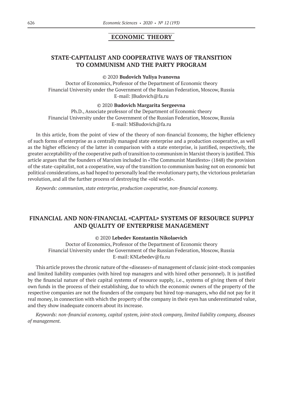# **ECONOMIC THEORY**

# **STATE-CAPITALIST AND COOPERATIVE WAYS OF TRANSITION TO COMMUNISM AND THE PARTY PROGRAM**

#### © 2020 **Budovich Yuliya Ivanovna**

Doctor of Economics, Professor of the Department of Economic theory Financial University under the Government of the Russian Federation, Moscow, Russia E-mail: JBudovich@fa.ru

#### © 2020 **Budovich Margarita Sergeevna**

Ph.D., Associate professor of the Department of Economic theory Financial University under the Government of the Russian Federation, Moscow, Russia E-mail: MSBudovich@fa.ru

In this article, from the point of view of the theory of non-financial Economy, the higher efficiency of such forms of enterprise as a centrally managed state enterprise and a production cooperative, as well as the higher efficiency of the latter in comparison with a state enterprise, is justified, respectively, the greater acceptability of the cooperative path of transition to communism in Marxist theory is justified. This article argues that the founders of Marxism included in «The Communist Manifesto» (1848) the provision of the state-capitalist, not a cooperative, way of the transition to communism basing not on economic but political considerations, as had hoped to personally lead the revolutionary party, the victorious proletarian revolution, and all the further process of destroying the «old world».

*Keywords: communism, state enterprise, production cooperative, non-financial economy.*

# **FINANCIAL AND NON-FINANCIAL «CAPITAL» SYSTEMS OF RESOURCE SUPPLY AND QUALITY OF ENTERPRISE MANAGEMENT**

### © 2020 **Lebedev Konstantin Nikolaevich**

Doctor of Economics, Professor of the Department of Economic theory Financial University under the Government of the Russian Federation, Moscow, Russia E-mail: KNLebedev@fa.ru

This article proves the chronic nature of the «diseases» of management of classic joint-stock companies and limited liability companies (with hired top managers and with hired other personnel). It is justified by the financial nature of their capital systems of resource supply, i.e., systems of giving them of their own funds in the process of their establishing, due to which the economic owners of the property of the respective companies are not the founders of the company but hired top-managers, who did not pay for it real money, in connection with which the property of the company in their eyes has underestimated value, and they show inadequate concern about its increase.

*Keywords: non-financial economy, capital system, joint-stock company, limited liability company, diseases of management.*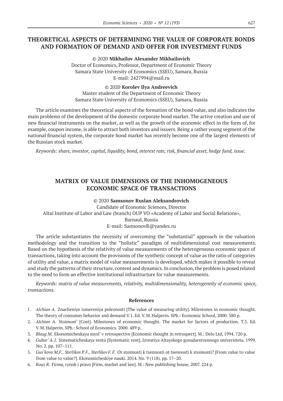# **THEORETICAL ASPECTS OF DETERMINING THE VALUE OF CORPORATE BONDS AND FORMATION OF DEMAND AND OFFER FOR INVESTMENT FUNDS**

© 2020 **Mikhailov Alexander Mikhailovich** Doctor of Economics, Professor, Department of Economic Theory Samara State University of Economics (SSEU), Samara, Russia E-mail: 2427994@mail.ru

### © 2020 **Korolev Ilya Andreevich**

Master student of the Department of Economic Theory Samara State University of Economics (SSEU), Samara, Russia

The article examines the theoretical aspects of the formation of the bond value, and also indicates the main problems of the development of the domestic corporate bond market. The active creation and use of new financial instruments on the market, as well as the growth of the economic effect in the form of, for example, coupon income, is able to attract both investors and issuers. Being a rather young segment of the national financial system, the corporate bond market has recently become one of the largest elements of the Russian stock market.

*Keywords: share, investor, capital, liquidity, bond, interest rate, risk, financial asset, hedge fund, issue.*

# **MATRIX OF VALUE DIMENSIONS OF THE INHOMOGENEOUS ECONOMIC SPACE OF TRANSACTIONS**

### © 2020 **Samsonov Ruslan Aleksandrovich**

Candidate of Economic Sciences, Director Altai Institute of Labor and Law (branch) OUP VO «Academy of Labor and Social Relations», Barnaul, Russia E-mail: SamsonovR@yandex.ru

The article substantiates the necessity of overcoming the "substantial" approach in the valuation methodology and the transition to the "holistic" paradigm of multidimensional cost measurements. Based on the hypothesis of the relativity of value measurements of the heterogeneous economic space of transactions, taking into account the provisions of the synthetic concept of value as the ratio of categories of utility and value, a matrix model of value measurements is developed, which makes it possible to reveal and study the patterns of their structure, content and dynamics. In conclusion, the problem is posed related to the need to form an effective institutional infrastructure for value measurements.

*Keywords: matrix of value measurements, relativity, multidimensionality, heterogeneity of economic space, transactions.*

- 1. *Alchian A.* Znacheniye izmereniya poleznosti [The value of measuring utility]. Milestones in economic thought. The theory of consumer behavior and demand V.1. Ed. V.M.Halperin. SPb.: Economic School, 2000. 380 p.
- 2. *Alchian A.* Stoimost' [Cost]. Milestones of economic thought. The market for factors of production. T.3. Ed. V.M.Halperin. SPb.: School of Economics. 2000. 489 p.
- 3. *Blaug M.* Ekonomicheskaya mysl' v retrospective [Economic thought in retrospect]. M.: Delo Ltd, 1994. 720 p.
- 4. *Gubar' A. I*. Sistematicheskaya renta [Systematic rent]. Izvestiya Altayskogo gosudarstvennogo universiteta. 1999. No. 2. pp. 107–111.
- 5. *Gus'kova M.F., Sterlikov P.F., Sterlikov F.F.* Ot stoimosti k tsennosti ot tsennosti k stoimosti? [From value to value from value to value?]. Ekonomicheskiye nauki. 2014. No. 9 (118). pp. 17–20.
- 6. *Kouz R.* Firma, rynok i pravo [Firm, market and law]. M.: New publishing house, 2007. 224 p.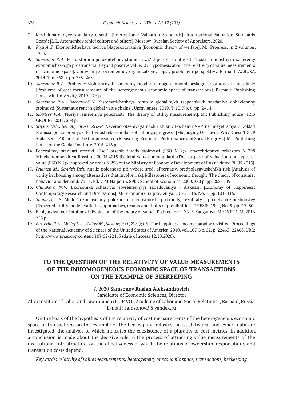- 7. Mezhdunarodnyye standarty otsenki [International Valuation Standards]. International Valuation Standards Board; [I..L. Artemenkov (chief editor) and others]. Moscow: Russian Society of Appraisers, 2020.
- 8. *Pigu A.S.* Ekonomicheskaya teoriya blagosostoyaniya [Economic theory of welfare]. M.: Progress. in 2 volumes. 1985.
- 9. *Samsonov R.A.* Po tu storonu polozhitel'noy stoimosti…!? Gipoteza ob otnositel'nosti stoimostnykh izmereniy ekonomicheskogo prostranstva [Beyond positive value…!? Hypothesis about the relativity of value measurements of economic space]. Upravleniye sovremennoy organizatsiyey: opyt, problemy i perspektivy. Barnaul: AZBUKA, 2014. T. 6. 368 p. pp. 255–265.
- 10. *Samsonov R.A.* Problemy stoimostnykh izmereniy neodnorodnogo ekonomicheskogo prostranstva transaktsiy [Problems of cost measurements of the heterogeneous economic space of transactions]. Barnaul: Publishing house Alt. University, 2019. 176 p.
- 11. *Samsonov R.A., Bocharov S.N.* Sistematicheskaya renta v global'nykh tsepochkakh sozdaniya dobavlennoy stoimosti [Systematic rent in global value chains]. Upravlenets. 2019. T. 10. No. 6. pp. 2–14.
- 12. *Sibirtsev V.A.* Teoriya izmereniya poleznosti [The theory of utility measurement]. M.: Publishing house «IRIS GROUP», 2011. 308 p.
- 13. *Stiglits Dzh., Sen A., Fitussi ZH.-P*. Neverno otsenivaya nashu zhizn': Pochemu VVP ne imeyet smysl? Doklad Komissii po izmereniyu effektivnosti ekonomiki i sotsial'nogo progressa [Misjudging Our Lives: Why Doesn't GDP Make Sense? Report of the Commission on Measuring Economic Performance and Social Progress]. M.: Publishing house of the Gaidar Institute, 2016. 216 p.
- 14. Federal'nyy standart otsenki «Tsel' otsenki i vidy stoimosti (FSO N 2)», utverzhdennyy prikazom N 298 Minekonomrazvitiya Rossii ot 20.05.2015 [Federal valuation standard «The purpose of valuation and types of value (FSO N 2)», approved by order N 298 of the Ministry of Economic Development of Russia dated 20.05.2015].
- 15. *Fridmen M., Sevidzh Dzh*. Analiz poleznosti pri vybore sredi al'ternativ, predpolagayushchikh risk [Analysis of utility in choosing among alternatives that involve risk]. Milestones of economic thought. The theory of consumer behavior and demand. Vol. 1. Ed. V.M.Halperin. SPb.: School of Economics. 2000. 380 p. pp. 208–249.
- 16. *Chinakova N. V.* Ekonomika schast'ya: sovremennyye issledovaniya i diskussii [Economy of Happiness: Contemporary Research and Discussions]. Mir ekonomiki i upravleniya. 2016. T. 16. No. 1. pp. 101–115.
- 17. *Shumeyker P.* Model' ozhidayemoy poleznosti: raznovdnosti, podkhody, rezul'taty i predely vozmozhnostey [Expected utility model: varieties, approaches, results and limits of possibilities]. THESIS, 1994, No. 5. pp. 29–80.
- 18. Evolyutsiya teorii stoimosti [Evolution of the theory of value]. Pod red. prof. YA. S.Yadgarova. M.: INFRA-M, 2016. 253 p.
- 19. *Easterlin R.A.,McVey L.A., Switek M., Sawangfa O.,Zweig J. S.*The happiness–income paradox revisited. Proceedings of the National Academy of Sciences of the United States of America, 2010, vol. 107, No. 52, p. 22463–22468. URL: http://www.pnas.org/content/107/52/22463 (date of access 12.10.2020).

# **TO THE QUESTION OF THE RELATIVITY OF VALUE MEASUREMENTS OF THE INHOMOGENEOUS ECONOMIC SPACE OF TRANSACTIONS ON THE EXAMPLE OF BEEKEEPING**

© 2020 **Samsonov Ruslan Aleksandrovich**

Candidate of Economic Sciences, Director

Altai Institute of Labor and Law (branch) OUP VO «Academy of Labor and Social Relations», Barnaul, Russia E-mail: SamsonovR@yandex.ru

On the basis of the hypothesis of the relativity of cost measurements of the heterogeneous economic space of transactions on the example of the beekeeping industry, facts, statistical and expert data are investigated, the analysis of which indicates the coexistence of a plurality of cost metrics. In addition, a conclusion is made about the decisive role in the process of attracting value measurements of the institutional infrastructure, on the effectiveness of which the relations of ownership, responsibility and transaction costs depend.

*Keywords: relativity of value measurements, heterogeneity of economic space, transactions, beekeeping.*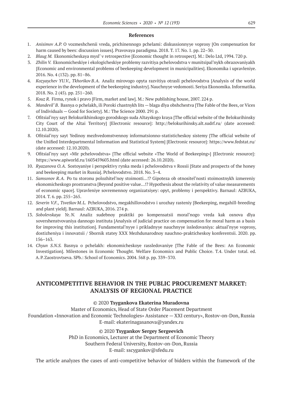#### **References**

- 1. *Anisimov A.P.* O vozmeshchenii vreda, prichinennogo pchelami: diskussionnyye voprosy [On compensation for harm caused by bees: discussion issues]. Pravovaya paradigma. 2018. T. 17. No. 1. pp. 22–30.
- 2. *Blaug M.* Ekonomicheskaya mysl' v retrospective [Economic thought in retrospect]. M.: Delo Ltd, 1994. 720 p.
- 3. *Zhilin V.*Ekonomicheskiye i ekologicheskiye problemy razvitiya pchelovodstva v munitsipal'nykh obrazovaniyakh [Economic and environmental problems of beekeeping development in municipalities]. Ekonomika i upravleniye. 2016. No. 4 (132). pp. 81–86.
- 4. *Kozyaychev YU.V., Tkhorikov B. A.* Analiz mirovogo opyta razvitiya otrasli pchelovodstva [Analysis of the world experience in the development of the beekeeping industry]. Nauchnyye vedomosti. Seriya Ekonomika. Informatika. 2018. No. 2 (45). pp. 251–260.
- 5. *Kouz R.* Firma, rynok i pravo [Firm, market and law]. M.: New publishing house, 2007. 224 p.
- 6. *Mandevil' B*. Basnya o pchelakh, ili Poroki chastnykh lits blaga dlya obshchestva [The Fable of the Bees, or Vices of Individuals — Good for Society]. M.: The Science 2000. 291 p.
- 7. Ofitsial'nyy sayt Belokurikhinskogo gorodskogo suda Altayskogo kraya [The official website of the Belokurihinsky City Court of the Altai Territory] [Electronic resource]: http://belokurihinsky.alt.sudrf.ru/ (date accessed: 12.10.2020).
- 8. Ofitsial'nyy sayt Yedinoy mezhvedomstvennoy informatsionno-statisticheskoy sistemy [The official website of the Unified Interdepartmental Information and Statistical System] [Electronic resource]: https://www.fedstat.ru/ (date accessed: 12.10.2020).
- 9. Ofitsial'nyy sayt «Mir pchelovodstva» [The official website «The World of Beekeeping»] [Electronic resource]: https://www.apiworld.ru/1603459603.html (date accessed: 26.10.2020).
- 10. *Ryazanova O.A.* Sostoyaniye i perspektivy rynka meda i pchelovodstva v Rossii [State and prospects of the honey and beekeeping market in Russia]. Pchelovodstvo. 2018. No. 3–4.
- 11. *Samsonov R.A.* Po tu storonu polozhitel'noy stoimosti…!? Gipoteza ob otnositel'nosti stoimostnykh izmereniy ekonomicheskogo prostranstva [Beyond positive value…!? Hypothesis about the relativity of value measurements of economic space]. Upravleniye sovremennoy organizatsiyey: opyt, problemy i perspektivy. Barnaul: AZBUKA, 2014. T. 6. pp. 255–265.
- 12. Severin V.F., Tsvetkov M.L. Pchelovodstvo, megakhillovodstvo i urozhay rasteniy [Beekeeping, megahill-breeding and plant yield]. Barnaul: AZBUKA, 2016. 274 p.
- 13. *Sobolevskaya Ye. N.* Analiz sudebnoy praktiki po kompensatsii moral'nogo vreda kak osnova dlya sovershenstvovaniya dannogo instituta [Analysis of judicial practice on compensation for moral harm as a basis for improving this institution]. Fundamental'nyye i prikladnyye nauchnyye issledovaniya: aktual'nyye voprosy, dostizheniya i innovatsii / Sbornik statey XXX Mezhdunarodnoy nauchno-prakticheskoy konferentsii. 2020. pp. 156–163.
- 14. *Chyun S.N.S.* Basnya o pchelakh: ekonomicheskoye rassledovaniye [The Fable of the Bees: An Economic Investigation]. Milestones in Economic Thought. Welfare Economics and Public Choice. T.4. Under total. ed. A.P.Zaostrovtseva. SPb.: School of Economics. 2004. 568 p. pp. 339–370.

## **ANTICOMPETITIVE BEHAVIOR IN THE PUBLIC PROCUREMENT MARKET: ANALYSIS OF REGIONAL PRACTICE**

### © 2020 **Tsygankova Ekaterina Muradovna**

Master of Economics, Head of State Order Placement Department Foundation «Innovation and Economic Technologies» Assistance — XXI century», Rostov-on-Don, Russia E-mail: ekaterinagasanova@yandex.ru

### © 2020 **Tsygankov Sergey Sergeevich**

PhD in Economics, Lecturer at the Department of Economic Theory Southern Federal University, Rostov-on-Don, Russia E-mail: sscygankov@sfedu.ru

The article analyzes the cases of anti-competitive behavior of bidders within the framework of the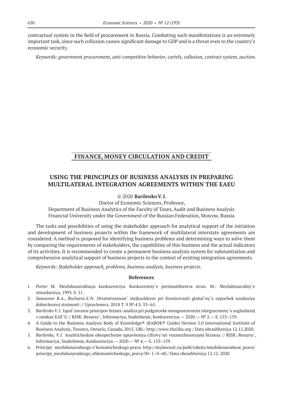contractual system in the field of procurement in Russia. Combating such manifestations is an extremely important task, since such collusion causes significant damage to GDP and is a threat even to the country's economic security.

*Keywords: government procurement, anti-competitive behavior, cartels, collusion, contract system, auction.*

### **FINANCE, MONEY CIRCULATION AND CREDIT**

# **USING THE PRINCIPLES OF BUSINESS ANALYSIS IN PREPARING MULTILATERAL INTEGRATION AGREEMENTS WITHIN THE EAEU**

© 2020 **Barilenko V.I.**

Doctor of Economic Sciences, Professor,

Department of Business Analytics of the Faculty of Taxes, Audit and Business Analysis Financial University under the Government of the Russian Federation, Moscow, Russia

The tasks and possibilities of using the stakeholder approach for analytical support of the initiation and development of business projects within the framework of multilateral interstate agreements are considered. A method is proposed for identifying business problems and determining ways to solve them by comparing the requirements of stakeholders, the capabilities of this business and the actual indicators of its activities. It is recommended to create a permanent business analysis system for substantiation and comprehensive analytical support of business projects in the context of existing integration agreements.

*Keywords: Stakeholder approach, problems, business analysis, business projects.*

- 1. *Porter M.* Mezhdunarodnaya konkurenciya. Konkurentny`e preimushhestva stran. M.: Mezhdunarodny`e otnosheniya, 1993. S. 51.
- 2. *Samsonov R.A., Bocharov S.N.* Otvetstvennost` stejkxolderov pri formirovanii global`ny`x cepochek sozdaniya dobavlennoj stoimosti // Upravlenecz. 2018 T. 9 № 4 S. 53–65.
- 3. *Barilenko V. I.*Ispol`zovanie principov biznes-analiza pri podgotovke mnogostoronnix integracionny`x soglashenij v ramkax EAE`S // RISK: Resursy`, Informaciya, Snabzhenie, Konkurenciya.— 2020.—№ 2.— S. 153–159.
- 4. A Guide to the Business Analysis Body of Knowledge® (BABOK® Guide) Version 3.0 International Institute of Business Analysis, Toronto, Ontario, Canada, 2015. URL: http://www.theiiba.org / Data obrashheniya 12.12.2020.
- 5. *Barilenko, V.I*. Analiticheskoe obespechenie upravleniya cifrovy`mi vozmozhnostyami biznesa // RISK: Resursy`, Informaciya, Snabzhenie, Konkurenciya.— 2020.—№ 4.— S. 153–159.
- 6. Principy` mezhdunarodnogo e`konomicheskogo prava. http://mylawsuit.ru/publ/raboty/mezhdunarodnoe\_pravo/ principy mezhdunarodnogo ehkonomicheskogo prava/30–1–0–60 / Data obrashheniya 12.12. 2020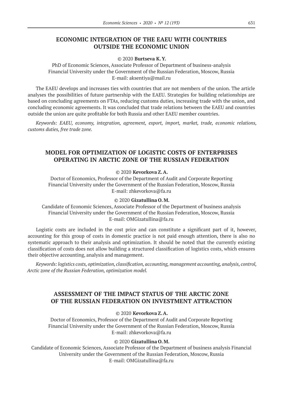# **ECONOMIC INTEGRATION OF THE EAEU WITH COUNTRIES OUTSIDE THE ECONOMIC UNION**

#### © 2020 **Burtseva K.Y.**

PhD of Economic Sciences, Associate Professor of Department of business-analysis Financial University under the Government of the Russian Federation, Moscow, Russia E-mail: aksentiya@mail.ru

The EAEU develops and increases ties with countries that are not members of the union. The article analyses the possibilities of future partnership with the EAEU. Strategies for building relationships are based on concluding agreements on FTAs, reducing customs duties, increasing trade with the union, and concluding economic agreements. It was concluded that trade relations between the EAEU and countries outside the union are quite profitable for both Russia and other EAEU member countries.

*Keywords: EAEU, economy, integration, agreement, export, import, market, trade, economic relations, customs duties, free trade zone.*

# **MODEL FOR OPTIMIZATION OF LOGISTIC COSTS OF ENTERPRISES OPERATING IN ARCTIC ZONE OF THE RUSSIAN FEDERATION**

© 2020 **Kevorkova Z.A.**

Doctor of Economics, Professor of the Department of Audit and Corporate Reporting Financial University under the Government of the Russian Federation, Moscow, Russia E-mail: zhkevorkova@fa.ru

#### © 2020 **Gizatullina O.M.**

Candidate of Economic Sciences, Associate Professor of the Department of business analysis Financial University under the Government of the Russian Federation, Moscow, Russia E-mail: OMGizatullina@fa.ru

Logistic costs are included in the cost price and can constitute a significant part of it, however, accounting for this group of costs in domestic practice is not paid enough attention, there is also no systematic approach to their analysis and optimization. It should be noted that the currently existing classification of costs does not allow building a structured classification of logistics costs, which ensures their objective accounting, analysis and management.

*Keywords: logistics costs, optimization, classification,accounting,management accounting,analysis, control, Arctic zone of the Russian Federation, optimization model.*

# **ASSESSMENT OF THE IMPACT STATUS OF THE ARCTIC ZONE OF THE RUSSIAN FEDERATION ON INVESTMENT ATTRACTION**

© 2020 **Kevorkova Z.A.**

Doctor of Economics, Professor of the Department of Audit and Corporate Reporting Financial University under the Government of the Russian Federation, Moscow, Russia E-mail: zhkevorkova@fa.ru

### © 2020 **Gizatullina O.M.**

Candidate of Economic Sciences, Associate Professor of the Department of business analysis Financial University under the Government of the Russian Federation, Moscow, Russia E-mail: OMGizatullina@fa.ru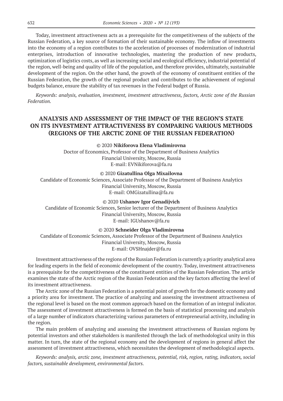Today, investment attractiveness acts as a prerequisite for the competitiveness of the subjects of the Russian Federation, a key source of formation of their sustainable economy. The inflow of investments into the economy of a region contributes to the acceleration of processes of modernization of industrial enterprises, introduction of innovative technologies, mastering the production of new products, optimization of logistics costs, as well as increasing social and ecological efficiency, industrial potential of the region, well-being and quality of life of the population, and therefore provides, ultimately, sustainable development of the region. On the other hand, the growth of the economy of constituent entities of the Russian Federation, the growth of the regional product and contributes to the achievement of regional budgets balance, ensure the stability of tax revenues in the Federal budget of Russia.

*Keywords: analysis, evaluation, investment, investment attractiveness, factors, Arctic zone of the Russian Federation.*

# **ANALYSIS AND ASSESSMENT OF THE IMPACT OF THE REGION'S STATE ON ITS INVESTMENT ATTRACTIVENESS BY COMPARING VARIOUS METHODS (REGIONS OF THE ARCTIC ZONE OF THE RUSSIAN FEDERATION)**

© 2020 **Nikiforova Elena Vladimirovna**

Doctor of Economics, Professor of the Department of Business Analytics Financial University, Moscow, Russia E-mail: EVNikiforova@fa.ru

© 2020 **Gizatullina Olga Mixailovna**

Candidate of Economic Sciences, Associate Professor of the Department of Business Analytics Financial University, Moscow, Russia E-mail: OMGizatullina@fa.ru

© 2020 **Ushanov Igor Genadijvich** Candidate of Economic Sciences, Senior lecturer of the Department of Business Analytics Financial University, Moscow, Russia E-mail: IGUshanov@fa.ru

© 2020 **Schneider Olga Vladimirovna**

Candidate of Economic Sciences, Associate Professor of the Department of Business Analytics Financial University, Moscow, Russia E-mail: OVSHnajder@fa.ru

Investment attractiveness of the regions of the Russian Federation is currently a priority analytical area for leading experts in the field of economic development of the country. Today, investment attractiveness is a prerequisite for the competitiveness of the constituent entities of the Russian Federation. The article examines the state of the Arctic region of the Russian Federation and the key factors affecting the level of its investment attractiveness.

The Arctic zone of the Russian Federation is a potential point of growth for the domestic economy and a priority area for investment. The practice of analyzing and assessing the investment attractiveness of the regional level is based on the most common approach based on the formation of an integral indicator. The assessment of investment attractiveness is formed on the basis of statistical processing and analysis of a large number of indicators characterizing various parameters of entrepreneurial activity, including in the region.

The main problem of analyzing and assessing the investment attractiveness of Russian regions by potential investors and other stakeholders is manifested through the lack of methodological unity in this matter. In turn, the state of the regional economy and the development of regions in general affect the assessment of investment attractiveness, which necessitates the development of methodological aspects.

*Keywords: analysis, arctic zone, investment attractiveness, potential, risk, region, rating, indicators, social factors, sustainable development, environmental factors.*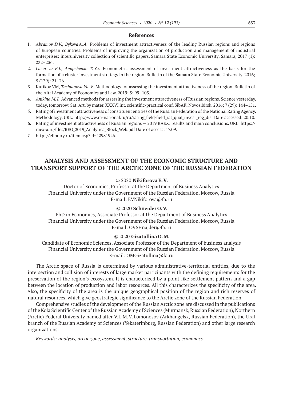#### **References**

- 1. *Abramov D.V., BykovaA.A.* Problems of investment attractiveness of the leading Russian regions and regions of European countries. Problems of improving the organization of production and management of industrial enterprises: interuniversity collection of scientific papers. Samara State Economic University. Samara, 2017 (1): 232–236.
- 2. *Lazareva E.I., Anopchenko T. Yu.* Econometric assessment of investment attractiveness as the basis for the formation of a cluster investment strategy in the region. Bulletin of the Samara State Economic University. 2016; 5 (139): 21–26.
- 3. Kurikov VM, *Tashlanova Yu. V.* Methodology for assessing the investment attractiveness of the region. Bulletin of the Altai Academy of Economics and Law. 2019; 5: 99–103.
- 4. *Anikina M.I.* Advanced methods for assessing the investment attractiveness of Russian regions. Science yesterday, today, tomorrow: Sat. Art. by mater. XXXVI int. scientific-practical conf. SibAK. Novosibirsk. 2016; 7 (29): 144–151.
- 5. Rating of investment attractiveness of constituent entities of the Russian Federation of the National Rating Agency. Methodology. URL: http://www.ra-national.ru/ru/rating\_field/field\_rat\_qual\_invest\_reg\_dist Date accessed: 20.10.
- 6. Rating of investment attractiveness of Russian regions 2019 RAEX: results and main conclusions. URL: https:// raex-a.ru/files/REG\_2019\_Analytica\_Block\_Web.pdf Date of access: 17.09.
- 7. http: //elibrary.ru/item.asp?id=42981926.

# **ANALYSIS AND ASSESSMENT OF THE ECONOMIC STRUCTURE AND TRANSPORT SUPPORT OF THE ARCTIC ZONE OF THE RUSSIAN FEDERATION**

#### © 2020 **Nikiforova E.V.**

Doctor of Economics, Professor at the Department of Business Analytics Financial University under the Government of the Russian Federation, Moscow, Russia E-mail: EVNikiforova@fa.ru

#### © 2020 **Schneider O.V.**

PhD in Economics, Associate Professor at the Department of Business Analytics Financial University under the Government of the Russian Federation, Moscow, Russia E-mail: OVSHnajder@fa.ru

#### © 2020 **Gizatullina O.M.**

Candidate of Economic Sciences, Associate Professor of the Department of business analysis Financial University under the Government of the Russian Federation, Moscow, Russia E-mail: OMGizatullina@fa.ru

The Arctic space of Russia is determined by various administrative-territorial entities, due to the intersection and collision of interests of large market participants with the defining requirements for the preservation of the region's ecosystem. It is characterized by a point-like settlement pattern and a gap between the location of production and labor resources. All this characterizes the specificity of the area. Also, the specificity of the area is the unique geographical position of the region and rich reserves of natural resources, which give geostrategic significance to the Arctic zone of the Russian Federation.

Comprehensive studies of the development of the Russian Arctic zone are discussed in the publications of the Kola Scientific Center of the Russian Academy of Sciences (Murmansk, Russian Federation), Northern (Arctic) Federal University named after V.I. M.V.Lomonosov (Arkhangelsk, Russian Federation), the Ural branch of the Russian Academy of Sciences (Yekaterinburg, Russian Federation) and other large research organizations.

*Keywords: analysis, arctic zone, assessment, structure, transportation, economics.*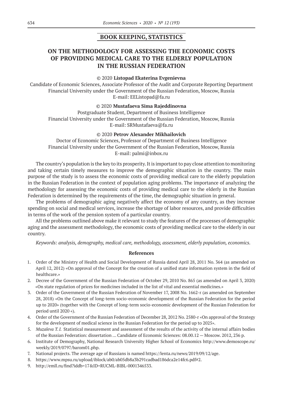### **BOOK KEEPING, STATISTICS**

# **ON THE METHODOLOGY FOR ASSESSING THE ECONOMIC COSTS OF PROVIDING MEDICAL CARE TO THE ELDERLY POPULATION IN THE RUSSIAN FEDERATION**

#### © 2020 **Listopad Ekaterina Evgenievna**

Candidate of Economic Sciences, Associate Professor of the Audit and Corporate Reporting Department Financial University under the Government of the Russian Federation, Moscow, Russia E-mail: EEListopad@fa.ru

### © 2020 **Mustafaeva Sima Rajeddinovna**

Postgraduate Student, Department of Business Intelligence Financial University under the Government of the Russian Federation, Moscow, Russia E-mail: SRMustafaeva@fa.ru

#### © 2020 **Petrov Alexander Mikhailovich**

Doctor of Economic Sciences, Professor of Department of Business Intelligence Financial University under the Government of the Russian Federation, Moscow, Russia E-mail: palmi@inbox.ru

The country's population is the key to its prosperity. It is important to pay close attention to monitoring and taking certain timely measures to improve the demographic situation in the country. The main purpose of the study is to assess the economic costs of providing medical care to the elderly population in the Russian Federation in the context of population aging problems. The importance of analyzing the methodology for assessing the economic costs of providing medical care to the elderly in the Russian Federation is determined by the requirements of the time, the demographic situation in general.

The problems of demographic aging negatively affect the economy of any country, as they increase spending on social and medical services, increase the shortage of labor resources, and provide difficulties in terms of the work of the pension system of a particular country.

All the problems outlined above make it relevant to study the features of the processes of demographic aging and the assessment methodology, the economic costs of providing medical care to the elderly in our country.

*Keywords: analysis, demography, medical care, methodology, assessment, elderly population, economics.*

- 1. Order of the Ministry of Health and Social Development of Russia dated April 28, 2011 No. 364 (as amended on April 12, 2012) «On approval of the Concept for the creation of a unified state information system in the field of healthcare.»
- 2. Decree of the Government of the Russian Federation of October 29, 2010 No. 865 (as amended on April 3, 2020) «On state regulation of prices for medicines included in the list of vital and essential medicines.»
- 3. Order of the Government of the Russian Federation of November 17, 2008 No. 1662‑r (as amended on September 28, 2018) «On the Concept of long-term socio-economic development of the Russian Federation for the period up to 2020» (together with the Concept of long-term socio-economic development of the Russian Federation for period until 2020 «).
- 4. Order of the Government of the Russian Federation of December 28, 2012 No. 2580‑r «On approval of the Strategy for the development of medical science in the Russian Federation for the period up to 2025».
- 5. *Muzaleva T.I.* Statistical measurement and assessment of the results of the activity of the internal affairs bodies of the Russian Federation: dissertation … Candidate of Economic Sciences: 08.00.12 — Moscow. 2012, 236 p.
- 6. Institute of Demography, National Research University Higher School of Economics http://www.demoscope.ru/ weekly/2019/0797/barom01.php.
- 7. National projects. The average age of Russians is named https://lenta.ru/news/2019/09/12/age.
- 8. https://www.mpsu.ru/upload/iblock/ab0/ab05db8a3b291cadbad186dca2e14fc6.pdf#2.
- 9. http://emll.ru/find?iddb=17&ID=RUCML-BIBL‑0001346533.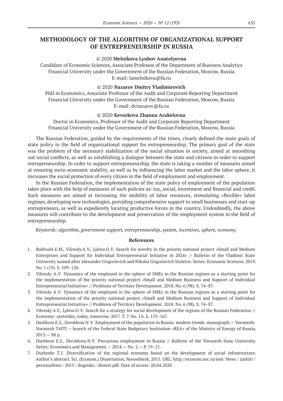# **METHODOLOGY OF THE ALGORITHM OF ORGANIZATIONAL SUPPORT OF ENTREPRENEURSHIP IN RUSSIA**

#### © 2020 **Melnikova Lyubov Anatolyevna**

Candidate of Economic Sciences, Associate Professor of the Department of Business Analytics Financial University under the Government of the Russian Federation, Moscow, Russia E-mail: lamelnikova@fa.ru

### © 2020 **Nazarov Dmitry Vladimirovich**

PhD in Economics, Associate Professor of the Audit and Corporate Reporting Department Financial University under the Government of the Russian Federation, Moscow, Russia E-mail: dvnazarov@fa.ru

### © 2020 **Kevorkova Zhanna Arakelovna**

Doctor in Economics, Professor of the Audit and Corporate Reporting Department Financial University under the Government of the Russian Federation, Moscow, Russia

The Russian Federation, guided by the requirements of the times, clearly defined the main goals of state policy in the field of organizational support for entrepreneurship. The primary goal of the state was the problem of the necessary stabilization of the social situation in society, aimed at smoothing out social conflicts, as well as establishing a dialogue between the state and citizens in order to support entrepreneurship. In order to support entrepreneurship, the state is taking a number of measures aimed at ensuring socio-economic stability, as well as by influencing the labor market and the labor sphere, it increases the social protection of every citizen in the field of employment and employment.

In the Russian Federation, the implementation of the state policy of employment of the population takes place with the help of measures of such policies as: tax, social, investment and financial and credit. Such measures are aimed at increasing the mobility of labor resources, stimulating «flexible» labor regimes, developing new technologies, providing comprehensive support to small businesses and start-up entrepreneurs, as well as expediently locating productive forces in the country. Undoubtedly, the above measures will contribute to the development and preservation of the employment system in the field of entrepreneurship.

*Keywords: algorithm, government support, entrepreneurship, system, incentives, sphere, economy.*

- 1. *Bukhvald E.M., Vilensky A. V., Lylova O. V.* Search for novelty in the priority national project «Small and Medium Enterprises and Support for Individual Entrepreneurial Initiative in 2024» // Bulletin of the Vladimir State University named after Alexander Grigorievich and Nikolai Grigorievich Stoletov. Series: Economic Sciences. 2019. No. 1 (19). S. 109–120.
- 2. *Vilensky A.V.* Dynamics of the employed in the sphere of SMEs in the Russian regions as a starting point for the implementation of the priority national project «Small and Medium Business and Support of Individual Entrepreneurial Initiative» // Problems of Territory Development. 2018. No. 6 (98). S. 74–87.
- 3. *Vilensky A.V.* Dynamics of the employed in the sphere of SMEs in the Russian regions as a starting point for the implementation of the priority national project «Small and Medium Business and Support of Individual Entrepreneurial Initiative» // Problems of Territory Development. 2018. No. 6 (98). S. 74–87.
- 4. *Vilensky A.V., Lylova O.V.* Search for a strategy for social development of the regions of the Russian Federation // Economy: yesterday, today, tomorrow. 2017. T. 7. No. 1A. S. 153–167.
- 5. *Dashkova E.S., Dorokhova N.V.* Employment of the population in Russia: modern trends: monograph. Voronezh: Voronezh TsSTI — branch of the Federal State Budgetary Institution «REA» of the Ministry of Energy of Russia, 2013.— 88 p.
- 6. *Dashkova E.S., Dorokhova N. V.* Precarious employment in Russia // Bulletin of the Voronezh State University. Series: Economics and Management.— 2014.— No. 2.— P. 19–21.
- 7. *Duzhenko T.I.* Diversification of the regional economy based on the development of social infrastructure. Author's abstract. Sci. (Econom.) Dissertation, Novosibirsk, 2015. URL: http://econom.nsc.ru/ieie/ News / zashiti / personalities / 2015 / dugenko / dissert.pdf. Date of access: 20.04.2020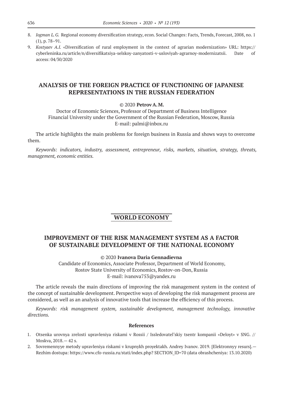- 8. *Iogman L. G.* Regional economy diversification strategy, econ. Social Changes: Facts, Trends, Forecast, 2008, no. 1 (1), p. 78–91.
- 9. *Kostyaev A.I.* «Diversification of rural employment in the context of agrarian modernization» URL: https:// cyberleninka.ru/article/n/diversifikatsiya-selskoy-zanyatosti-v-usloviyah-agrarnoy-modernizatsii. Date of access: 04/30/2020

### **ANALYSIS OF THE FOREIGN PRACTICE OF FUNCTIONING OF JAPANESE REPRESENTATIONS IN THE RUSSIAN FEDERATION**

#### © 2020 **Petrov A.M.**

Doctor of Economic Sciences, Professor of Department of Business Intelligence Financial University under the Government of the Russian Federation, Moscow, Russia E-mail: palmi@inbox.ru

The article highlights the main problems for foreign business in Russia and shows ways to overcome them.

*Keywords: indicators, industry, assessment, entrepreneur, risks, markets, situation, strategy, threats, management, economic entities.*

### **WORLD ECONOMY**

# **IMPROVEMENT OF THE RISK MANAGEMENT SYSTEM AS A FACTOR OF SUSTAINABLE DEVELOPMENT OF THE NATIONAL ECONOMY**

### © 2020 **Ivanova Daria Gennadievna**

Candidate of Economics, Associate Professor, Department of World Economy, Rostov State University of Economics, Rostov-on-Don, Russia E-mail: ivanova753@yandex.ru

The article reveals the main directions of improving the risk management system in the context of the concept of sustainable development. Perspective ways of developing the risk management process are considered, as well as an analysis of innovative tools that increase the efficiency of this process.

*Keywords: risk management system, sustainable development, management technology, innovative directions.*

- 1. Otsenka urovnya zrelosti upravleniya riskami v Rossii / Issledovatel'skiy tsentr kompanii «Deloyt» v SNG. // Moskva, 2018.— 42 s.
- 2. Sovremennyye metody upravleniya riskami v krupnykh proyektakh. Andrey Ivanov. 2019. [Elektronnyy resurs].— Rezhim dostupa: https://www.cfo-russia.ru/stati/index.php? SECTION\_ID=70 (data obrashcheniya: 13.10.2020)